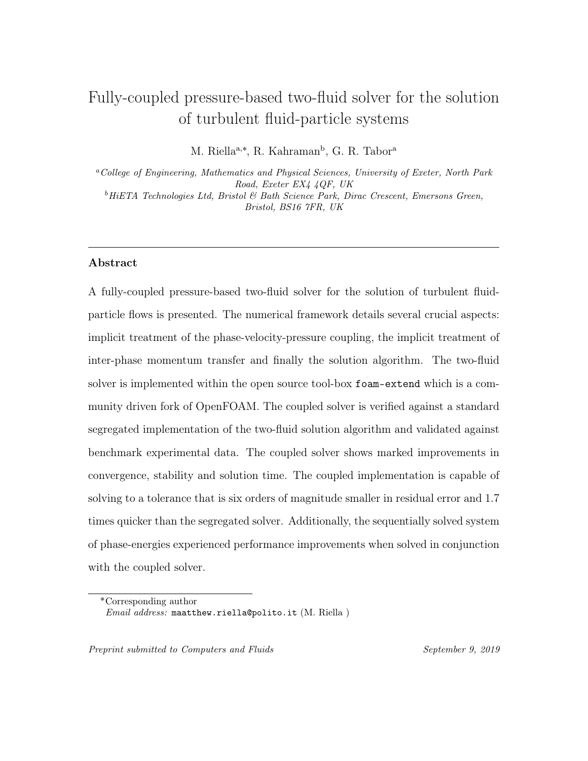# Fully-coupled pressure-based two-fluid solver for the solution of turbulent fluid-particle systems

M. Riella<sup>a,\*</sup>, R. Kahraman<sup>b</sup>, G. R. Tabor<sup>a</sup>

<sup>a</sup>College of Engineering, Mathematics and Physical Sciences, University of Exeter, North Park Road, Exeter EX4 4QF, UK  $^{b}$  HiETA Technologies Ltd, Bristol & Bath Science Park, Dirac Crescent, Emersons Green, Bristol, BS16 7FR, UK

#### Abstract

A fully-coupled pressure-based two-fluid solver for the solution of turbulent fluidparticle flows is presented. The numerical framework details several crucial aspects: implicit treatment of the phase-velocity-pressure coupling, the implicit treatment of inter-phase momentum transfer and finally the solution algorithm. The two-fluid solver is implemented within the open source tool-box foam-extend which is a community driven fork of OpenFOAM. The coupled solver is verified against a standard segregated implementation of the two-fluid solution algorithm and validated against benchmark experimental data. The coupled solver shows marked improvements in convergence, stability and solution time. The coupled implementation is capable of solving to a tolerance that is six orders of magnitude smaller in residual error and 1.7 times quicker than the segregated solver. Additionally, the sequentially solved system of phase-energies experienced performance improvements when solved in conjunction with the coupled solver.

Preprint submitted to Computers and Fluids September 9, 2019

<sup>˚</sup>Corresponding author Email address: maatthew.riella@polito.it (M. Riella )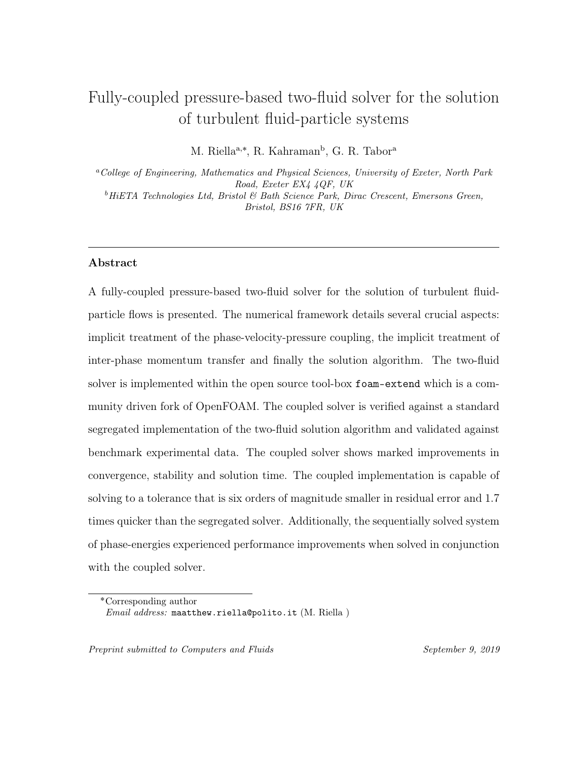### 1. Introduction

 In Computational Fluid Dynamics (CFD), the coupling of pressure and velocity has proven to be one of the major challenges when solving the Naiver-Stokes equa- tions (NSE) [\[14,](#page-51-0) [25\]](#page-52-0). Traditionally, this problem has been solved by solving the NSE in a decoupled manner [\[1,](#page-49-0) [14\]](#page-51-0) by employing a pressure-correction approach. First, an estimate for the velocity field is found by the momentum equation using an initial guess of the pressure field. Then a Poisson equation for pressure is solved for by taking the divergence of the momentum equation. After its solution, the velocity field is corrected to ensure continuity is satisfied.

 This pressure-based (meaning a pressure-correction equation is formulated) ap- proach make up two of the most widely used algorithms in CFD; SIMPLE [\[25\]](#page-52-0) and PISO [\[17\]](#page-51-1). Typically, these system of equations are solved in a segregated manner. The velocity and pressure are decoupled within the matrix with each variable being solved separately. The unknowns in each respective equation i.e. pressure in the momentum equation and momentum in the pressure equation, are treated explic- itly. The computational overhead required to store and operate on a single variable matrix is cheap and the emphasis is thus put on the time taken to do repeated op- erations. Two of the major drawbacks of these algorithms is the use of arbitrary under-relaxation factors, due to high rates of change in dependent variables and the slow convergence rates, due to the decoupling of velocity and pressure. In transient flows, the time-step size is used as an effective under-relaxation method in order to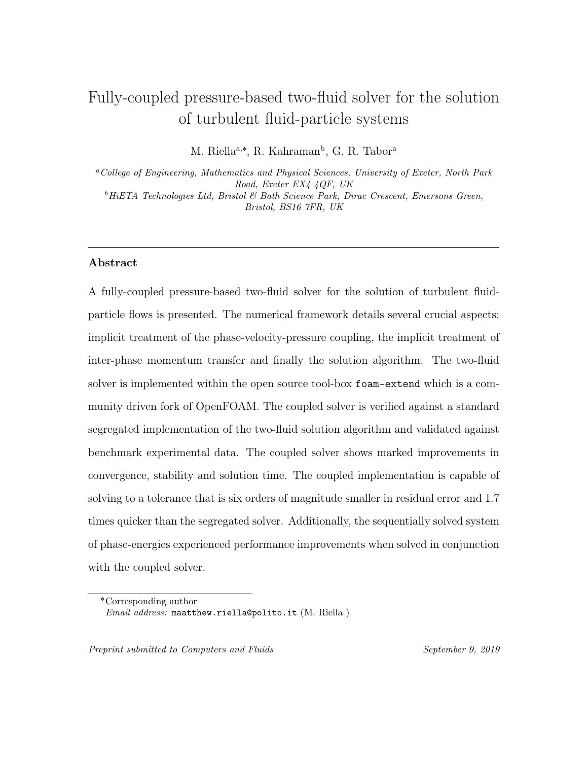cope with abrupt rates of change in the dependant variable.

 Recently, pressure-based approach has been employed within a Finite-Volume-<sup>24</sup> Method (FVM) block-coupled framework  $[6, 11, 12, 39]$  $[6, 11, 12, 39]$  $[6, 11, 12, 39]$  $[6, 11, 12, 39]$  $[6, 11, 12, 39]$  $[6, 11, 12, 39]$  $[6, 11, 12, 39]$  although other coupling ap-25 proaches have been developed: including the direct methods of  $[2, 5, 20, 23, 24, 35]$  $[2, 5, 20, 23, 24, 35]$  $[2, 5, 20, 23, 24, 35]$  $[2, 5, 20, 23, 24, 35]$  $[2, 5, 20, 23, 24, 35]$  $[2, 5, 20, 23, 24, 35]$  $[2, 5, 20, 23, 24, 35]$  $[2, 5, 20, 23, 24, 35]$  $[2, 5, 20, 23, 24, 35]$  $[2, 5, 20, 23, 24, 35]$  $[2, 5, 20, 23, 24, 35]$  i.e. solved in their primitive form and the control volume finite element method  $_{27}$  (CVFEM) [\[16,](#page-51-3) [21,](#page-51-4) [26,](#page-52-3) [37,](#page-53-1) [36\]](#page-53-2). Within the block-coupled framework the system of equations are solved within one single block-matrix in which the influence of velocity- pressure coupling can be introduced through inter-equation coupling terms. This ensures that the system of equations are solved implicitly using the current iteration values. As a single block-matrix of coefficients needs to be solved for the compu- tational overhead is high, unlike in the segregated approach. Due to the current computational power available, these methods are receiving increased attention as they do not require under-relaxation and show major improvements in convergence, stability and robustness.

 The pressure-based approach was first applied to co-located grids in the CVFEM framework by Webster [\[36,](#page-53-2) [37\]](#page-53-1). The approach shows dramatic improvements in convergence on both structured and unstructured grids in comparison to the SIMPLE <sup>39</sup> algorithm and shows superior performance on denser meshes. This framework [\[16,](#page-51-3) [26,](#page-52-3) [36,](#page-53-2) [37\]](#page-53-1) has since been extended to multiphase applications - namely the two-fluid model [\[3\]](#page-49-4). In this approach the entire system is coupled i.e. two momentum equations and a pressure field leading to tighter inter-equation coupling. The coupled solver showed far superior performance over its segregated counterpart with improvements in the number of iterations and computational time.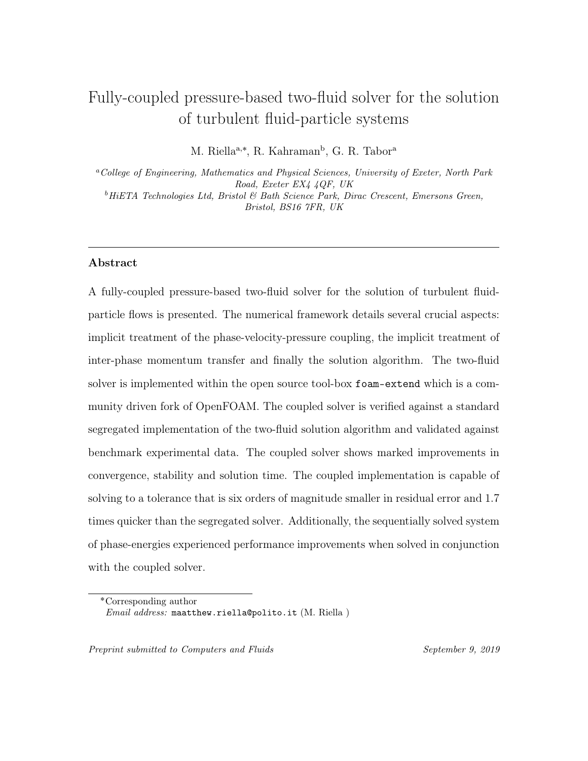The two-fluid model is particularly well placed for such an extension due to the formulation of the governing equations. Two phase-momentum equations are coupled via a shared pressure field with inter-phase coupling through drag. When solved within a segregated framework the system of equations are solved in a decoupled manner in which the decoupled phase-velocity-pressure and inter-phase drag terms are treated explicitly putting a computational constraint on the solution time and adversely affecting convergence.

 In a FVM framework, Darwish et al. [\[10\]](#page-50-2) has recently proposed a two-fluid fully- coupled pressure-based solver in which their single-phase framework [\[11,](#page-50-0) [12\]](#page-50-1) is ex- tended to a multiphase framework. The governing equations are solved within a fully conservative formulation i.e. the volume fraction and density are left in the momen- tum equations, typically used to capture compressibility effects. They derived their model in a 2D framework and verify their results on 1D laminar test cases showing a rate of solution acceleration between 1.3 and 4.6.

 More recently, Ferreira et al. [\[13\]](#page-50-3) proposed a fully-coupled pressure-based multi- fluid framework. In their work they solve the phase-intensive formulation i.e. di- viding out by volume fraction and density and employing the Compact Momentum  $\epsilon_2$  Interpolation (CMI) practice of Cubero et al.  $|9|$  and guess-and-correct procedure  $\epsilon_{\rm s}$  shown in Darwish et al. [\[10\]](#page-50-2). Overall, this treatment was shown to enhance stability <sup>64</sup> and convergence through the correct treatment of the temporal, drag and body force interpolation especially when a large drag force was present. The multi-fluid solver is verified on 2D laminar test cases showing superior performance when compared to  $\epsilon_7$  the segregated solver reporting computational speedups from 4.6 to 9.3 times.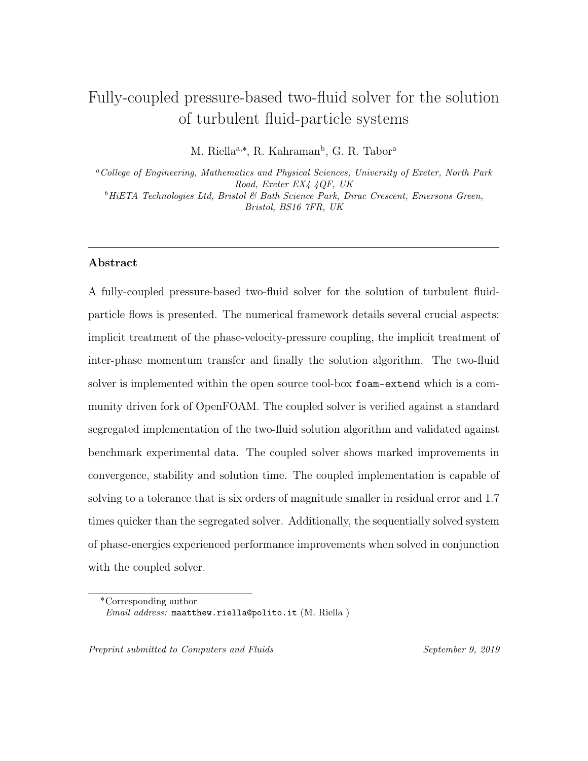In this work we propose a fully-coupled pressure-based two-fluid solver for tur- bulent fluid-particle flows. The two-fluid model [\[29\]](#page-52-4) is implicitly coupled in phase- velocity-pressure and inter-phase drag and employing the CMI practice of Cubero et al. [\[9\]](#page-50-4). The framework is implemented within the open-source tool-box foam-extend which is a community driven fork of OpenFOAM. The fully-coupled two-fluid pressure- based solver for turbulent fluid-particle flows is verified against a segregated im- plementation and validated against benchmark validation data. Additionally, the performance of the coupled and segregated solvers are compared and contrasted.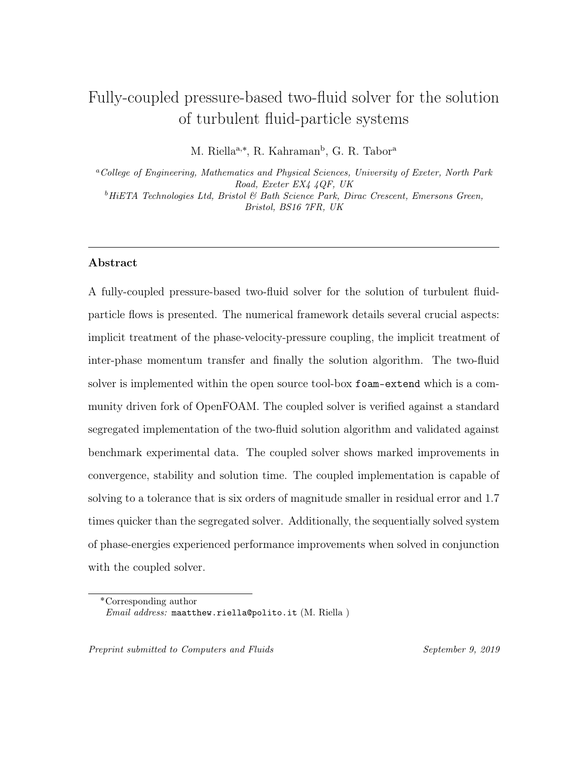#### <sup>76</sup> 2. RA-TFM governing equations

<sup>77</sup> We begin with a simplified set of equations from the Reynolds-Averaged Two-<sup>78</sup> Fluid model (RA-TFM) of Fox [\[15\]](#page-51-5). The continuity and momentum equations of the <sup>79</sup> particle- and fluid-phases are as follows:

$$
\frac{\partial(\alpha_p \rho_p)}{\partial t} + \nabla \cdot (\alpha_p \rho_p \mathbf{u}_p) = 0, \qquad (1)
$$

$$
\frac{\partial(\alpha_f \rho_f)}{\partial t} + \nabla \cdot (\alpha_f \rho_f \mathbf{u}_f) = 0, \qquad (2)
$$

<span id="page-5-0"></span>
$$
\frac{\partial(\alpha_p \rho_p \mathbf{u}_p)}{\partial t} + \nabla \cdot (\alpha_p \rho_p \mathbf{u}_p \mathbf{u}_p) = \nabla \cdot (\alpha_p \rho_p \overline{\mathbf{R}}_{\text{eff,p}}) + \beta (\mathbf{u}_f - \mathbf{u}_p) - \beta \frac{\nu_{ft}}{\text{Sc}_{fs} \alpha_p \alpha_f} \nabla \alpha_p
$$
\n
$$
-\nabla p_p - \alpha_p \nabla p_f + \alpha_p \rho_p \mathbf{g},
$$
\n(3)

<span id="page-5-1"></span>
$$
\frac{\partial(\alpha_f \rho_f \mathbf{u}_f)}{\partial t} + \nabla \cdot (\alpha_f \rho_f \mathbf{u}_f \mathbf{u}_f) = \nabla \cdot (\alpha_f \rho_f \overline{\mathbf{R}}_{\text{eff},f}) + \beta (\mathbf{u}_p - \mathbf{u}_f) + \beta \frac{\nu_{ft}}{\text{Sc}_{fs} \alpha_p \alpha_f} \nabla \alpha_p
$$
\n
$$
-\alpha_f \nabla p_f + \alpha_f \rho_f \mathbf{g}.
$$
\n(4)

 The accompanying phase-energy transport equations that make up the complete RA-TFM can be found in Table [1.](#page-6-0) In this work they are treated sequentially and are therefore not given special treatment here. Definitions of the aforementioned 83 equations can be found in Tables  $4 \& 5$  $4 \& 5$ .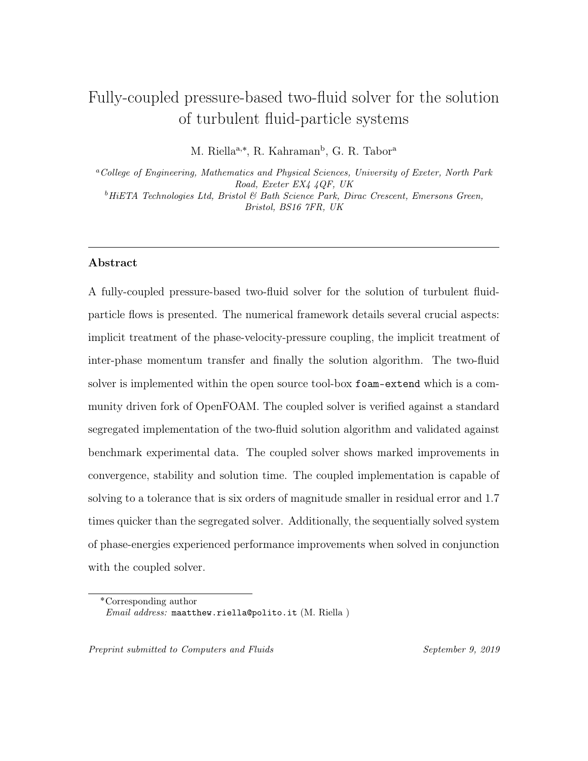<span id="page-6-0"></span>Table 1: RA-TFM phase-energy equations.

The particle-phase energy transport equations:

$$
\frac{\partial(\alpha_p \rho_p k_p)}{\partial t} + \nabla \cdot (\alpha_p \rho_p k_p \mathbf{u}_p) = \nabla \cdot \left(\mu_p + \frac{\mu_{pt}}{\sigma_{pk}}\right) \nabla k_p + \alpha_p \rho_p \Pi_p - \alpha_p \rho_p \varepsilon_p
$$
\n
$$
+ \beta (k_{fp} - k_p) \tag{5}
$$

$$
\frac{\partial(\alpha_p \rho_p \varepsilon_p)}{\partial t} + \nabla \cdot (\alpha_p \rho_p \varepsilon_p \mathbf{u}_p) = \nabla \cdot \left(\mu_p + \frac{\mu_{pt}}{\sigma_{pk}}\right) \nabla \varepsilon_p + \frac{\varepsilon_p}{k_p} (C_1 \alpha_p \rho_p \Pi_p - C_2 \alpha_p \rho_p \varepsilon_p) + \beta(\varepsilon_{fp} - \varepsilon_p)
$$
\n(6)

$$
\frac{3}{2} \Big[ \frac{\partial (\alpha_p \rho_p \Theta_p)}{\partial t} + \nabla \cdot (\alpha_p \rho_p \Theta_p \mathbf{u}_p) \Big] = \nabla \cdot \Big( \kappa_{\Theta} + \frac{3\mu_{pt}}{2Pr_{pt}} \Big) \nabla \Theta_p + 2\mu_p \overline{\mathbf{S}}_{\mathbf{p}} : \overline{\mathbf{S}}_{\mathbf{p}} -p_p \nabla \cdot \mathbf{u}_p + \alpha_p \rho_p \varepsilon_p - 3\beta \Theta_p
$$
\n(7)

The fluid-phase energy transport equations:

$$
\frac{\partial(\alpha_f \rho_f k_f)}{\partial t} + \nabla \cdot (\alpha_f \rho_f k_f \mathbf{u}_f) = \nabla \cdot \left(\mu_t + \frac{\mu_{ft}}{\sigma_{fk}}\right) \nabla k_f + \alpha_f \rho_f \Pi_f - \alpha_f \rho_f \varepsilon_f
$$
\n
$$
+ \beta (k_{fp} - k_f)
$$
\n(8)

$$
\frac{\partial(\alpha_f \rho_f \varepsilon_f)}{\partial t} + \nabla \cdot (\alpha_f \rho_f \varepsilon_f \mathbf{u}_f) = \nabla \cdot \left(\mu_t + \frac{\mu_{ft}}{\sigma_{fk}}\right) \nabla \varepsilon_f + \frac{\varepsilon_f}{k_f} \Big[ C_1 \alpha_f \Pi_f - C_2 \alpha_f \rho_f \varepsilon_f \Big] \tag{9}
$$
\n
$$
+ C_3 \beta(\varepsilon_{fp} - \varepsilon_f)
$$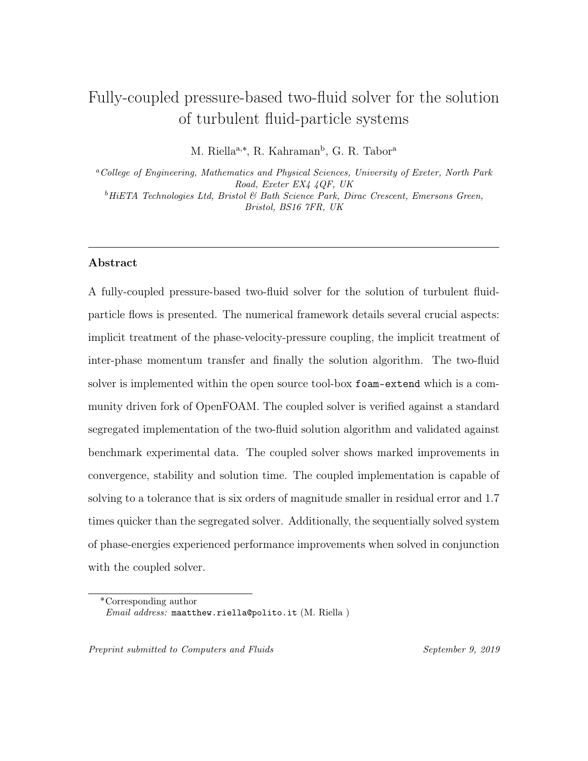#### 84 3. Segregated solution algorithm

#### 85 3.1. Phase intensive momentum equations

 Here we follow the phase intensive formulation of Rusche [\[32\]](#page-53-3), Weller [\[38\]](#page-53-4). For  $\sigma$  simplicity the turbulent dispersion term is now denoted as  $\mathscr{D}$ , separating the drag contributions into explicit and implicit terms and dividing by both the phase fraction and density we are left with:

<span id="page-7-0"></span>
$$
\frac{\partial \mathbf{u}_p}{\partial t} + \nabla \cdot (\mathbf{u}_p \mathbf{u}_p) - \mathbf{u}_p \nabla \cdot \mathbf{u}_p + \frac{\nabla \alpha_p}{\alpha_p^*} \cdot \overline{\mathbf{R}}_{\text{eff},p}^c + \nabla \cdot \overline{\mathbf{R}}_{\text{eff},p}^c - \nabla \cdot (\nu_{\text{eff},p} \nabla \mathbf{u}_p) + \frac{\beta \mathbf{u}_p}{\alpha_p \rho_p} \n- \nabla \cdot (\nu_{\text{eff},p} \frac{\nabla \alpha_p}{\alpha_p^*} \mathbf{u}_p) + \mathbf{u}_p \nabla \cdot (\nu_{\text{eff},p} \frac{\nabla \alpha_p}{\alpha_p^*}) \n= \frac{\beta \mathbf{u}_f}{\alpha_p \rho_p} - \frac{\beta \mathscr{D} \nabla \alpha_p}{\alpha_p \rho_p} - \frac{\nabla p_p}{\alpha_p^* \rho_p} - \frac{\nabla p_f}{\rho_p} + \mathbf{g},
$$
\n(10)

<span id="page-7-1"></span>
$$
\frac{\partial \mathbf{u}_f}{\partial t} + \nabla \cdot (\mathbf{u}_f \mathbf{u}_f) - \mathbf{u}_f \nabla \cdot \mathbf{u}_f + \frac{\nabla \alpha_f}{\alpha_f^*} \cdot \overline{\mathbf{R}}_{\text{eff},f}^c + \nabla \cdot \overline{\mathbf{R}}_{\text{eff},f}^c - \nabla \cdot (\nu_{\text{eff},f} \nabla \mathbf{u}_f) + \frac{\beta \mathbf{u}_f}{\alpha_f \rho_f} \n- \nabla \cdot (\nu_{\text{eff},f} \frac{\nabla \alpha_f}{\alpha_f^*} \mathbf{u}_f) + \mathbf{u}_f \nabla \cdot (\nu_{\text{eff},f} \frac{\nabla \alpha_f}{\alpha_f^*}) \n= \frac{\beta \mathbf{u}_p}{\alpha_f \rho_f} + \frac{\beta \mathcal{D} \nabla \alpha_p}{\alpha_f \rho_f} - \frac{\nabla p_f}{\rho_f} + \mathbf{g},
$$
\n(11)

where  $\alpha_p^* = \alpha_p + \delta$  and  $\alpha_f^* = \alpha_f + \delta$ , and  $\delta$  is introduced to avoid a division by zero and is  $\mathcal{O}(10^{-6})$ . It is important to clarify the behaviour of terms with the volume 92 fraction in their denominator. The drag terms containing the phase-velocities i.e.  $\beta$  in 93 which the numerator contains  $\alpha_p \alpha_f$  (see Table [4\)](#page-47-0) which ensures the correct behavior 94 of the function as  $\alpha_p \to 0$ . The turbulent dispersion term contains the gradient of 95 volume fraction which in the limit  $\alpha_p \to 0$  means that the ratio approaches zero.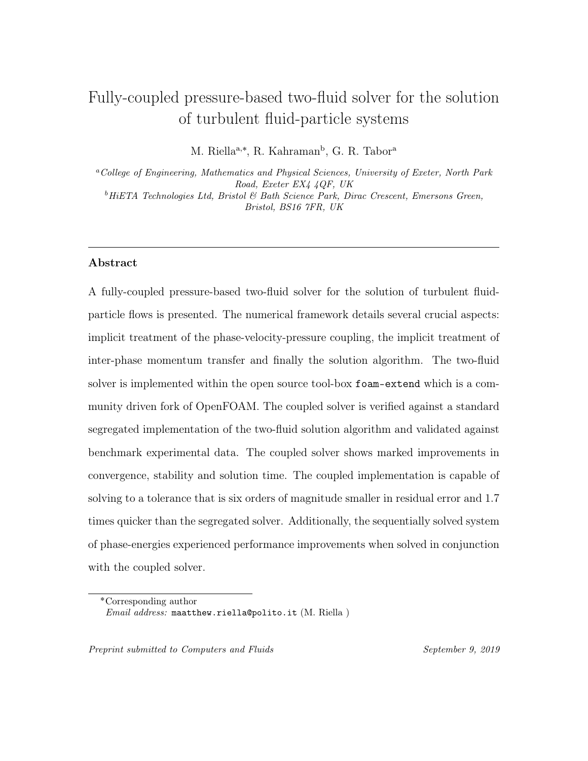<sup>96</sup> This ensures that the momentum equations are able to be solved everywhere within <sup>97</sup> the domain despite diminishing particle volume fractions.

98 As it can be seen from the system of equations in Eqs.  $3 \& 4$  $3 \& 4$  $3 \& 4$  no diffusive flux exists that can be treated implicitly. This can have advantages when solving the equations i.e enhanced matrix positively and diagonal dominance. Therefore, following Weller [\[38\]](#page-53-4), Rusche [\[32\]](#page-53-3) the Reynolds stress term can be rewritten into a diffusive and corrective component:

$$
\overline{\mathbf{R}}_{\text{eff},i} = \overline{\mathbf{R}}_{\text{eff},i} + \nu_{\text{eff},i} \nabla \mathbf{u}_{i} - \nu_{\text{eff},i} \nabla \mathbf{u}_{i}
$$
\n
$$
= -\nu_{\text{eff},i} (\nabla \mathbf{u}_{i} + \nabla^{T} \mathbf{u}_{i}) + \frac{2}{3} \nu_{\text{eff},i} \mathbf{I} \nabla \cdot \mathbf{u}_{i}
$$
\n
$$
+ \nu_{\text{eff},i} \nabla \mathbf{u}_{i} - \nu_{\text{eff},i} \nabla \mathbf{u}_{i}
$$
\n
$$
= (-\nu_{\text{eff},i} \nabla^{T} \mathbf{u}_{i} + \frac{2}{3} \nu_{\text{eff},i} \mathbf{I} \nabla \cdot \mathbf{u}_{i}) - \nu_{\text{eff},i} \nabla \mathbf{u}_{i}
$$
\n
$$
= \overline{\mathbf{R}}_{\text{eff},i}^{c} - \nu_{\text{eff},i} \nabla \mathbf{u}_{i}.
$$
\n(12)

### <sup>103</sup> 3.2. Discretisation of the intensive momentum equations

<sup>104</sup> First, we discretise the left hand side of the equation which contains the convec-<sup>105</sup> tive, diffusive and implicit-drag transport terms:

$$
\mathcal{T}_p := \left[ \frac{\partial [\![\mathbf{u}_p]\!]}{\partial t} \right] + \left[ \nabla \cdot (\mathbf{u}_p [\![\mathbf{u}_p]\!]) \right] - \left[ (\nabla \cdot \mathbf{u}_p) [\![\mathbf{u}_p]\!] \right] + \frac{\nabla \alpha_p}{\alpha_p^*} \cdot \overline{\mathbf{R}}_{\text{eff},p}^c + \nabla \cdot \overline{\mathbf{R}}_{\text{eff},p}^c
$$

$$
- \left[ \nabla \cdot (\nu_{\text{eff},p} \nabla [\![\mathbf{u}_p]\!]) \right] - \left[ \nabla \cdot (\nu_{\text{eff},p} \frac{\nabla \alpha_p}{\alpha_p^*} [\![\mathbf{u}_p]\!]) \right] \tag{13}
$$

$$
- \left[ \nabla \cdot (\nu_{\text{eff},p} \frac{\nabla \alpha_p}{\alpha_p^*}) [\![\mathbf{u}_p]\!]) \right] + \left[ \frac{\beta [\![\mathbf{u}_p]\!]}{\alpha_p \rho_p} \right],
$$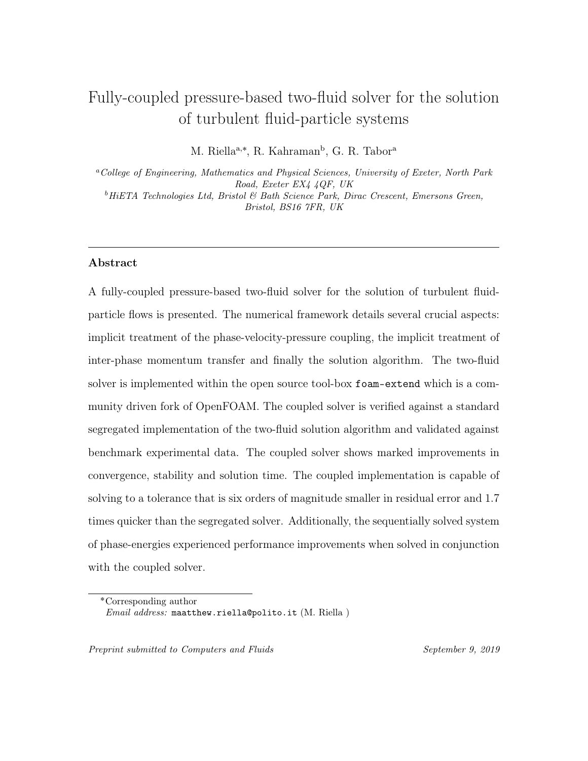$$
\mathcal{T}_f := \left[ \frac{\partial [\![ \mathbf{u}_f ]\!] }{\partial t} \right] + \left[ \nabla \cdot (\mathbf{u}_f [\![ \mathbf{u}_f ]\!]) \right] - \left[ (\nabla \cdot \mathbf{u}_f) [\![ \mathbf{u}_f ]\!] \right] + \frac{\nabla \alpha_f}{\alpha_f^*} \cdot \overline{\mathbf{R}}_{\text{eff},f}^c + \nabla \cdot \overline{\mathbf{R}}_{\text{eff},f}^c
$$

$$
- \left[ \nabla \cdot (\nu_{\text{eff},f} \nabla [\![ \mathbf{u}_f ]\!]) \right] - \left[ \nabla \cdot (\nu_{\text{eff},f} \frac{\nabla \alpha_f}{\alpha_f^*} [\![ \mathbf{u}_f ]\!]) \right] \tag{14}
$$

$$
- \left[ \nabla \cdot (\nu_{\text{eff},f} \frac{\nabla \alpha_f}{\alpha_f^*}) [\![ \mathbf{u}_f ]\!]) \right] + \left[ \frac{\beta [\![ \mathbf{u}_f ]\!] }{\alpha_f \rho_f} \right],
$$

106 where [ $\cdot$ ] is the implicit dicretisation of the term,  $\mathcal{T}_p$  &  $\mathcal{T}_f$  represents the nu- merical coefficients of each respective algebraic system given by the discretisation. The second and third terms on the RHS represent convection and have been split up into a convection term minus a divergence terms as it enhances boundedness of the solution.

<span id="page-9-0"></span>111 The discretised momentum equations,  $\mathcal{T}_p \& \mathcal{T}_f$  represents the system of algebraic <sup>112</sup> equations which are written in the form,

$$
(\mathcal{T}_p)_{coeffs}\mathbf{u}_p = (\mathcal{T}_p)_s,\tag{15a}
$$

$$
(\mathcal{T}_f)_{coeffs}\mathbf{u}_f = (\mathcal{T}_f)_s,\tag{15b}
$$

113 where  $\int_{coeffs}$  represents the off-diagonal and diagonal coefficients and  $\int_{s}$  repre-<sup>114</sup> sents the source terms i.e. explicit terms. This discretised form of the momentum <sup>115</sup> equations will be revisited once the source terms on the RHS have been addressed.

116 Now addressing the RHS of Eq. [10](#page-7-0)  $\&$  [11](#page-7-1) which reads as

$$
\dots = \frac{\beta \mathbf{u}_f}{\alpha_p \rho_p} - \frac{\beta \mathcal{D} \nabla \alpha_p}{\alpha_p \rho_p} - \frac{\nabla p_f}{\rho_p} - \frac{\nabla p_p}{\alpha_p^* \rho_p} + \mathbf{g},\tag{16a}
$$

$$
\dots = \frac{\beta \mathbf{u}_p}{\alpha_f \rho_f} + \frac{\beta \mathcal{D} \nabla \alpha_p}{\alpha_f \rho_f} - \frac{\nabla p_f}{\rho_f} + \mathbf{g}.
$$
 (16b)

<sup>117</sup> Following the solution procedure of Weller [\[38\]](#page-53-4) all terms on the RHS are evaluated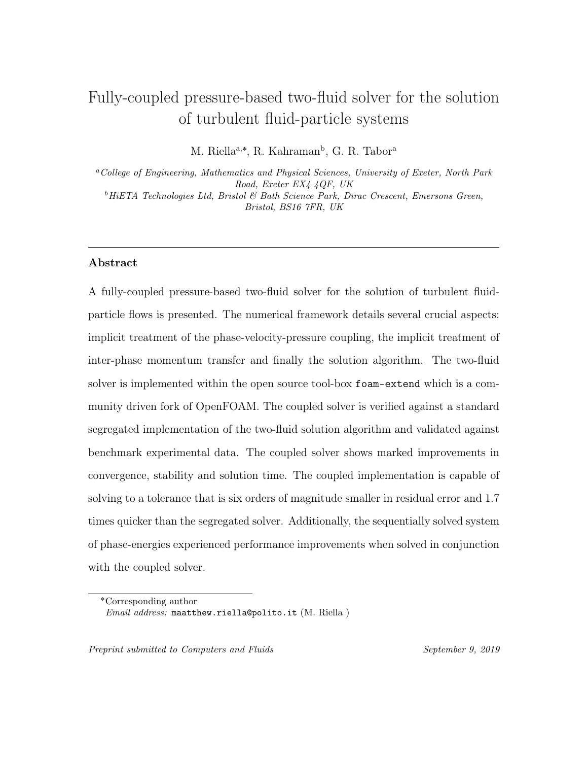at cell faces. In order to avoid checker-boarding in the solution, which is a prevalent problem on collocated grids due to the storage of values at cell centres and interpo- lating onto the face, the group of terms on the RHS are treated in a Rhie-Chow like manner [\[27\]](#page-52-5).

#### <sup>122</sup> 3.3. Phase momentum flux correction equations

<sup>123</sup> Now a semi-discretised formulation of both the particle- and fluid-phase can be <sup>124</sup> written. Invoking Eqs. [15](#page-9-0) and splitting up the total coefficients appearing in each <sup>125</sup> system into a diagonal,  $A_i$  and an explicit,  $H_i$  [\[19\]](#page-51-6) contribution. The latter consisting 126 of two parts, the neighbouring coefficients,  $\mathcal{O}_N$  multiplied by its respective phase 127 velocity and the source terms,  $\mathbf{H}_i = -(\mathbf{A}_i)_N \mathbf{u}_i + (\mathbf{A}_i)_S$ . The equations can then be <sup>128</sup> written as:

<span id="page-10-0"></span>
$$
\mathbf{A}_p \mathbf{u}_p = \mathbf{H}_p + \frac{\beta \mathbf{u}_f}{\alpha_p \rho_p} - \frac{\beta \mathcal{D} \nabla \alpha_p}{\alpha_p \rho_p} - \frac{\nabla p_f}{\rho_p} - \frac{\nabla p_p}{\alpha_p^* \rho_p} + \mathbf{g},\tag{17a}
$$

$$
\mathbf{A}_f \mathbf{u}_f = \mathbf{H}_f + \frac{\beta \mathbf{u}_p}{\alpha_f \rho_f} + \frac{\beta \mathcal{D} \nabla \alpha_p}{\alpha_f \rho_f} - \frac{\nabla p_f}{\rho_f} + \mathbf{g}.
$$
 (17b)

<span id="page-10-1"></span><sup>129</sup> Rearranging Eqs. [17](#page-10-0) gives the phase momentum correction equations, note these <sup>130</sup> equations are not used in the solution algorithm, but are required to derive a flux <sup>131</sup> predictor and corrector:

$$
\mathbf{u}_p = \frac{\mathbf{H}_p}{\mathbf{A}_p} + \frac{\beta \mathbf{u}_f}{\alpha_p \rho_p \mathbf{A}_p} - \frac{\beta \mathcal{D} \nabla \alpha_p}{\alpha_p \rho_p \mathbf{A}_p} - \frac{\nabla p_f}{\rho_p \mathbf{A}_p} - \frac{\nabla p_p}{\alpha_p^* \rho_p \mathbf{A}_p} + \frac{\mathbf{g}}{\mathbf{A}_p},
$$
(18a)

$$
\mathbf{u}_f = \frac{\mathbf{H}_f}{\mathbf{A}_f} + \frac{\beta \mathbf{u}_p}{\alpha_f \rho_f \mathbf{A}_f} + \frac{\beta \mathcal{D} \nabla \alpha_p}{\alpha_f \rho_f \mathbf{A}_f} - \frac{\nabla p_f}{\rho_f \mathbf{A}_f} + \frac{\mathbf{g}}{\mathbf{A}_f}.
$$
 (18b)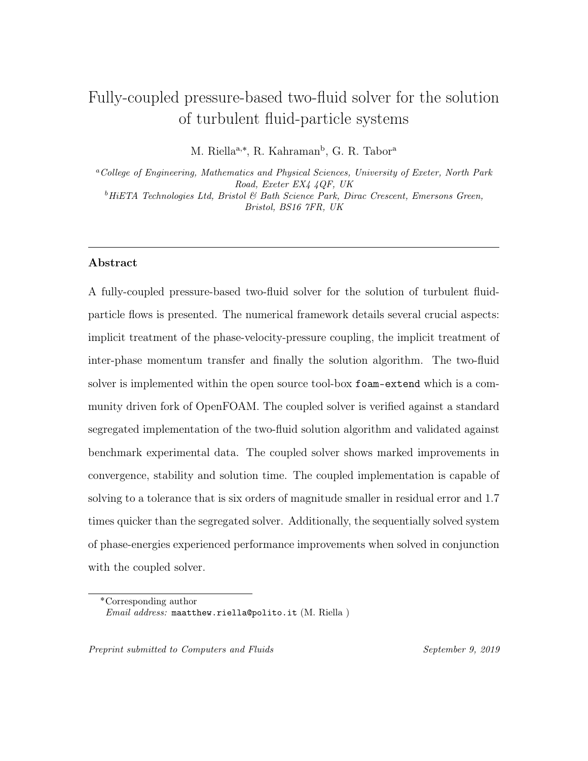#### <sup>132</sup> 3.4. Construction of the pressure equation

<sup>133</sup> In order to derive a pressure equation the continuity equation is enforced globally. <sup>134</sup> The global continuity equation thus reads:

<span id="page-11-1"></span>
$$
\nabla \cdot [(\alpha_p)_f \phi_p + (\alpha_f)_f \phi_f] = 0,\tag{19}
$$

135 where the subscript  $\int_{f}$  denotes the face value which is found through linear inter-136 polation i.e. central differencing and  $\phi_i = \mathbf{u}_{i,f} \cdot \mathbf{S}_f$  is the volumetric face flux where subscript f is used to denote variables that are evaluated at the control volume's face. From here the face fluxes are found by interpolating the momentum correc- tion equation (Eqs. [18\)](#page-10-1) onto face centres using Rhie-Chow interpolation [\[27\]](#page-52-5). The interpolation increases pressure-velocity coupling by introducing cell-to-cell pressure coupling by evaluating the gradient of pressure on cell faces using the neighbouring cell centre contribution. Using central differencing and denoting the gradient at a 143 face as,  $\nabla_f$ , we can write

$$
\phi_p = \phi_p^* - \frac{1}{\rho_p(\mathbf{A}_p)_f} \nabla_f^{\perp} p_f |\mathbf{S}_f|,\tag{20a}
$$

$$
\phi_f = \phi_f^* - \frac{1}{\rho_f(\mathbf{A}_f)_f} \nabla_f^{\perp} p_f |\mathbf{S}_f|,\tag{20b}
$$

<span id="page-11-0"></span><sup>144</sup> where  $\nabla^{\perp}_f \phi_i$  is the face normal gradient which is the inner product of the face gradient, 145  $\mathbf{n} \cdot \nabla_f \phi_i$ . The flux prediction terms,  $\phi_p^* \& \phi_f^*$  are written as:

<span id="page-11-2"></span>
$$
\phi_p^* = \left(\frac{\mathbf{H}_p}{\mathbf{A}_p}\right)_f \cdot \mathbf{S}_f + \frac{(\beta)_f}{(\alpha_p)_f \rho_p(\mathbf{A}_p)_f} \phi_f - \frac{(\beta)_f(\mathcal{D})_f}{(\alpha_p)_f \rho_p(\mathbf{A}_p)_f} \nabla_f^{\perp} \alpha_p |\mathbf{S}_f| - \frac{1}{(\alpha_p^*)_f \rho_p(\mathbf{A}_p)_f} \nabla_f^{\perp} p_p |\mathbf{S}_f| + \frac{\mathbf{g}}{(\mathbf{A}_p)_f} \cdot \mathbf{S}_f, \tag{21}
$$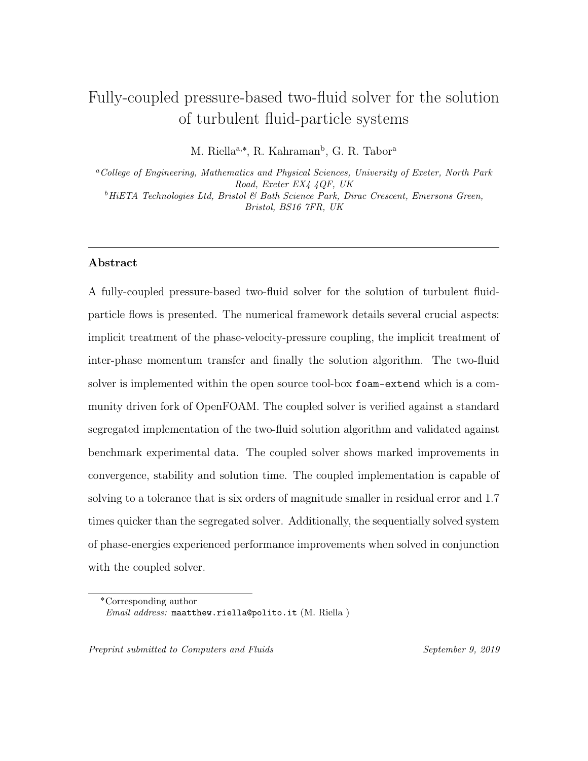<span id="page-12-0"></span>
$$
\phi_f^* = \left(\frac{\mathbf{H}_f}{\mathbf{A}_f}\right)_f \cdot \mathbf{S}_f + \frac{(\beta)_f}{(\alpha_f)_f \rho_f(\mathbf{A}_f)_f} \phi_p - \frac{(\beta)_f(\mathcal{D})_f}{(\alpha_f)_f \rho_f(\mathbf{A}_f)_f} \nabla_f^{\perp} \alpha_p |\mathbf{S}_f| + \frac{\mathbf{g}}{(\mathbf{A}_f)_f} \cdot \mathbf{S}_f.
$$
\n(22)

<sup>146</sup> Now the pressure equation can be constructed by substituting Eqs. [20](#page-11-0) into Eq. [19](#page-11-1) <sup>147</sup> which reads:

<span id="page-12-1"></span>
$$
\[\nabla \cdot \left( D_p \nabla_f [\![p_f]\!] \cdot \mathbf{S}_f \right)\] = \nabla \cdot \left( (\alpha_p)_f \phi_p^* + (\alpha_f)_f \phi_f^* \right),\tag{23}
$$

<sup>148</sup> where

$$
D_p = \frac{(\alpha_p)_f}{\rho_p(\mathbf{A}_p)_f} + \frac{(\alpha_f)_f}{\rho_f(\mathbf{A}_f)_f},\tag{24}
$$

 is the pressure diffusivity matrix and the pressure gradient has been discretised im- plicitly on the LHS as a diffusion term i.e. Laplacian. Essentially a shared or mixture pressure field is solved for, this ensures that continuity is obeyed throughout as the coupling is provided through the pressure equation.

 Once this equation has been solved the phase fluxes need to be updated to satisfy continuity, as in the predictor step the influence of the pressure gradient is removed, this can be achieved by solving Eq. [20.](#page-11-0) From this stage the solution does not completely satisfy continuity as the velocities, which are stored at the cell centres, need to be corrected with the influence of the pressure gradient.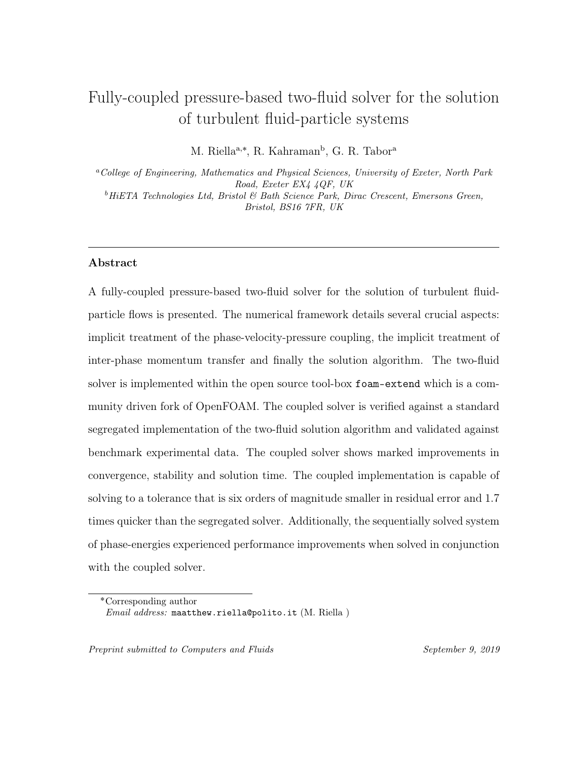This is achieved by invoking:

<span id="page-13-1"></span>
$$
\mathbf{u}_p = \frac{\mathbf{H}_p}{\mathbf{A}_p} + \left[ \phi_p^* - \frac{1}{\rho_p(\mathbf{A}_p)_f} \nabla_f^{\perp} p_f |\mathbf{S}_f| \right]_{f \to c}, \qquad (25a)
$$

$$
\mathbf{u}_f = \frac{\mathbf{H}_f}{\mathbf{A}_f} + \left[ \phi_f^* - \frac{1}{\rho_f(\mathbf{A}_f)_f} \nabla_f^{\perp} p_f |\mathbf{S}_f| \right]_{f \to c}, \tag{25b}
$$

158 where the subscript  $f \rightarrow c$  denotes a vector field reconstruction from face flux values to cell centre values. The influence of the gradient of pressure is incorporated into the reconstruction of the phase velocity - this ensures the phase velocity obeys continuity.

#### <sup>162</sup> 3.5. Solution of the phase-mixed continuity equation

<sup>163</sup> In practice the phase-mixed continuity equation is solved first based on the initial <sup>164</sup> conditions but for the sake of logical progression is presented now. Following Weller <sup>165</sup> [\[38\]](#page-53-4) the particle phase continuity equation Eq. [19](#page-11-1) can be reformulated as:

$$
\frac{\partial \alpha_p}{\partial t} + \nabla \cdot (\mathbf{u}_T \alpha_p) + \nabla \cdot (\mathbf{u}_r \alpha_p \alpha_f) = 0, \qquad (26)
$$

166 where  $\mathbf{u}_T = \alpha_p \mathbf{u}_p + \alpha_f \mathbf{u}_f$  is the mixture velocity and  $\mathbf{u}_r = \mathbf{u}_p - \mathbf{u}_f$  is the relative <sup>167</sup> velocity. This equation can then be discretised as

<span id="page-13-0"></span>
$$
\left[\frac{\partial[\![\alpha_p]\!]}{\partial t}\right] + \left[\!\left[\nabla \cdot \left(\phi[\![\alpha_p]\!]\right)\right]\!\right] + \left[\!\left[\nabla \cdot \left(\phi_{r,p}[\![\alpha_p]\!]\right)\right]\!\right] = 0,\tag{27}
$$

168 where  $\phi_{r,p} = (\alpha_f)_f \phi_r$  and  $\phi_r = \phi_p - \phi_f$ . The second term on the LHS is ensured to 169 be bounded between 0 and 1 due to the mixture flux,  $\phi = \mathbf{u}_{p,f} \cdot \mathbf{S}_f + \mathbf{u}_{f,f} \cdot \mathbf{S}_f$  satisfying <sup>170</sup> the mixture continuity equation. The third term is now non-linear and requires a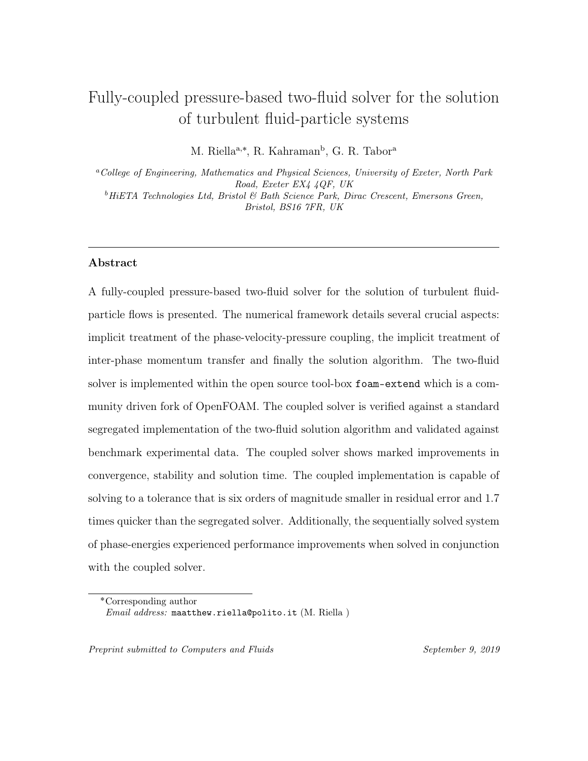Total Variation Diminishing (TVD) scheme to ensure the term is bounded between 0 and 1. As an aside the particles volume fraction should be bounded at a much lower 173 value i.e. its maximum packing limit  $\approx 0.62$ . This can be achieved by including the particle pressure calculation directly in the continuity equation. Interested readers are referred to ? ].

<sup>176</sup> An overview of the numerical procedure can be found below:

177

The numerical procedure adopted in the segregated algorithm:

- 1. Solve the volume fraction (Eq. [27\)](#page-13-0).
- 2. Construct  $\mathbf{A}_i$  in each phase (Eqs. [15\)](#page-9-0).
- 3. Enter PISO-Loop:
	- (a) Predict fluxes using Eqs. [21](#page-11-2) & [22.](#page-12-0)
	- (b) Construct and solve the pressure equation (Eq. [23\)](#page-12-1).
	- (c) Correct the phase fluxes using Eqs. [20.](#page-11-0)
	- (d) Reconstruct the phase velocities using Eqs. [25.](#page-13-1)
- 4. Solve the system of phase energy equations.
- 5. Advance in time.

178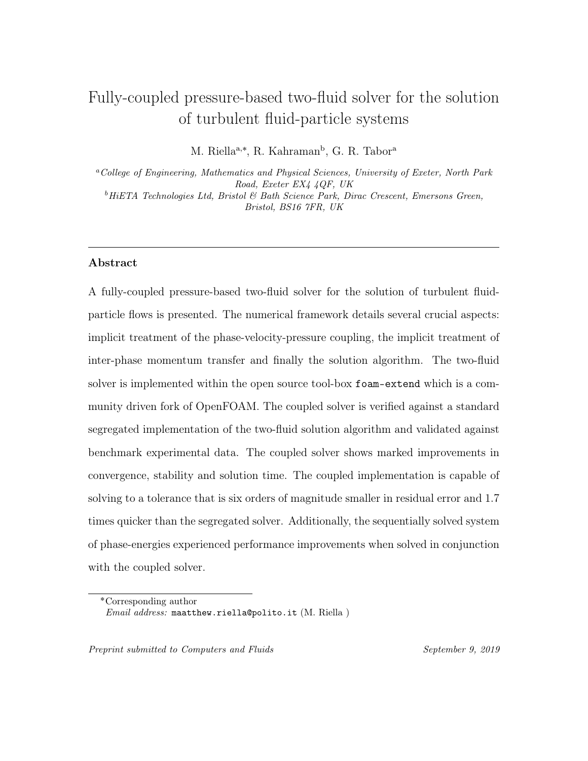#### <sup>179</sup> 4. Coupled solution algorithm

#### <sup>180</sup> 4.1. Semi-discretised momentum equations

<sup>181</sup> The phase-intensive formulation of the momentum equations are implemented in <sup>182</sup> an analogous manner to Ferreira et al. [\[13\]](#page-50-3). First, we start at the semi-discretised <sup>183</sup> equations as presented above:

$$
\mathbf{A}_p \mathbf{u}_p = \mathbf{H}_p + \frac{\beta \mathbf{u}_f}{\alpha_p \rho_p} - \frac{\beta \mathcal{D} \nabla \alpha_p}{\alpha_p \rho_p} - \frac{\nabla p_f}{\rho_p} - \frac{\nabla p_p}{\alpha_p^* \rho_p} + \mathbf{g},\tag{28a}
$$

$$
\mathbf{A}_f \mathbf{u}_f = \mathbf{H}_f + \frac{\beta \mathbf{u}_p}{\alpha_f \rho_f} + \frac{\beta \mathcal{D} \nabla \alpha_p}{\alpha_f \rho_f} - \frac{\nabla p_f}{\rho_f} + \mathbf{g}.
$$
 (28b)

<span id="page-15-0"></span> From here we follow Cubero et al. [\[9\]](#page-50-4) and separate out the temporal and drag co- efficients from the semi-discretised equations. Additionally, the turbulent dispersion <sup>186</sup> and gravity are absorbed into the  $H_i$  operator as well as the particle pressure for the particle phase. Which now reads as:

$$
[\mathbf{A}_p + \mathbf{A}_{Tp} + \mathbf{A}_{Dp}]\mathbf{u}_p = \mathbf{H}_p + \mathbf{H}_{Tp} + \frac{\beta \mathbf{u}_f}{\alpha_p \rho_p} - \frac{\nabla p_f}{\rho_p},
$$
\n(29a)

$$
[\mathbf{A}_f + \mathbf{A}_{Tf} + \mathbf{A}_{Df}] \mathbf{u}_f = \mathbf{H}_f + \mathbf{H}_{Tf} + \frac{\beta \mathbf{u}_p}{\alpha_f \rho_f} - \frac{\nabla p_f}{\rho_f},
$$
(29b)

where the time coefficient for each phase, considering a first-order Euler scheme with a fixed time step, and the drag coefficient is defined as:

<span id="page-15-1"></span>
$$
\mathbf{A}_{Tp} = \frac{\mathbf{H}_{Tp}}{\mathbf{u}_p^{t-1}}, \qquad \mathbf{A}_{Dp} = \frac{\beta}{\alpha_p \rho_p}, \qquad (30a)
$$

$$
\mathbf{A}_{Tf} = \frac{\mathbf{H}_{Tf}}{\mathbf{u}_f^{t-1}}, \qquad \mathbf{A}_{Df} = \frac{\beta}{\alpha_f \rho_f}.
$$
 (30b)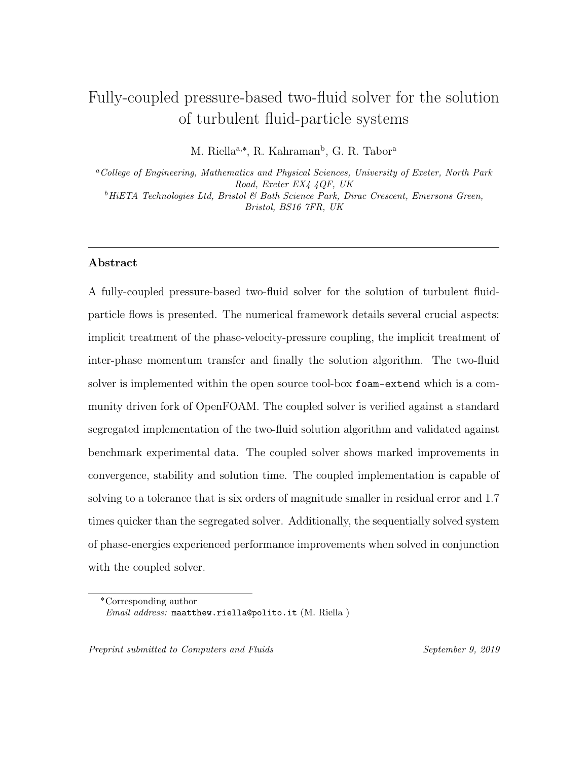<sup>188</sup> Now we divide each side of Eq. [29](#page-15-0) by the diagonal coefficient,  $A_i$  that contains <sup>189</sup> the advection and the implicit contribution of the shear stress terms, which now <sup>190</sup> reads:

$$
[1 + d_{Tp} + d_{Dp}] \mathbf{u}_p = \tilde{\mathbf{u}}_p + d_{Tp} \mathbf{u}_p^{t-1} + d_{Dp} \mathbf{u}_f - \frac{\nabla p_f}{\rho_p \mathbf{A}_p},
$$
(31a)

$$
[1 + d_{Tf} + d_{Df}] \mathbf{u}_f = \tilde{\mathbf{u}}_f + d_{Tf} \mathbf{u}_f^{t-1} + d_{Df} \mathbf{u}_p - \frac{\nabla p_f}{\rho_f \mathbf{A}_f},
$$
(31b)

<sup>191</sup> with the pseudo-velocities defined as:

$$
\tilde{\mathbf{u}}_p = \frac{\mathbf{H}_p}{\mathbf{A}_p}, \qquad \tilde{\mathbf{u}}_f = \frac{\mathbf{H}_f}{\mathbf{A}_f}, \tag{32}
$$

<sup>192</sup> and the coefficients for time, which give a ratio of the temporal to steady coeffi-<sup>193</sup> cients, are defined as:

<span id="page-16-1"></span>
$$
\mathrm{d}_{Tp} = \frac{\mathbf{A}_{Tp}}{\mathbf{A}_p}, \qquad \mathrm{d}_{Tf} = \frac{\mathbf{A}_{Tf}}{\mathbf{A}_f}, \tag{33}
$$

<sup>194</sup> and the coefficients for drag, which give a ratio of the drag to steady coefficients, <sup>195</sup> are defined as:

<span id="page-16-2"></span>
$$
d_{Dp} = \frac{A_{Dp}}{A_p}, \qquad d_{Df} = \frac{A_{Df}}{A_f}.
$$
 (34)

<span id="page-16-0"></span><sup>196</sup> Then the approximations for each phase velocity can be obtained as:  $\overline{a}$ 

$$
\mathbf{u}_p = \frac{1}{1 + \mathbf{d}_{Tp} + \mathbf{d}_{Dp}} \left[ \tilde{\mathbf{u}}_p + \mathbf{d}_{Tp} \mathbf{u}_p^{t-1} + \mathbf{d}_{Dp} \mathbf{u}_f - \frac{\nabla p_f}{\rho_p \mathbf{A}_p} \right],\tag{35a}
$$

$$
\mathbf{u}_f = \frac{1}{1 + \mathbf{d}_{Tf} + \mathbf{d}_{Df}} \left[ \tilde{\mathbf{u}}_f + \mathbf{d}_{Tf} \mathbf{u}_f^{t-1} + \mathbf{d}_{Df} \mathbf{u}_p - \frac{\nabla p_f}{\rho_f \mathbf{A}_f} \right]. \tag{35b}
$$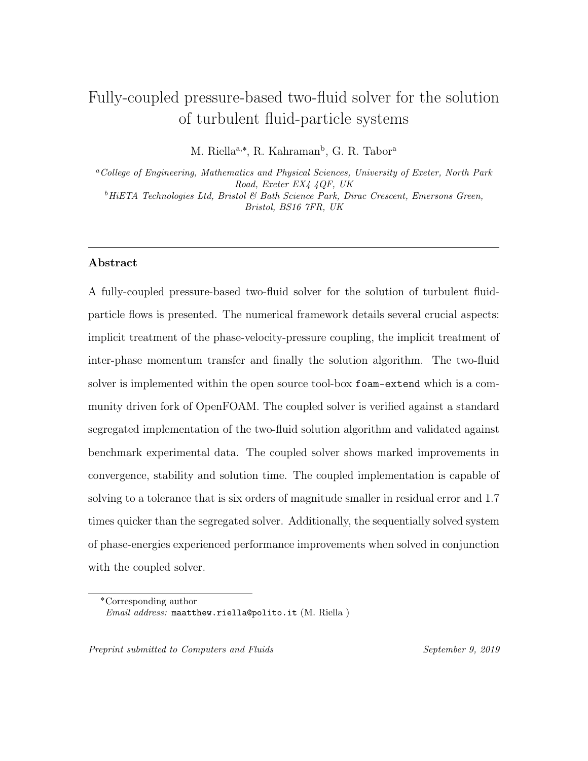## <sup>197</sup> 4.2. Momentum interpolation

<sup>198</sup> Following Cubero and Fueyo [\[8\]](#page-50-5), Cubero et al. [\[9\]](#page-50-4), the velocities at the cell faces <sup>199</sup> can be written as:

<span id="page-17-0"></span>
$$
\mathbf{u}_{i,f} = (\mathbf{u}_i)_f + \langle \mathbf{u}_i \rangle, \tag{36}
$$

200 where  $(\mathbf{u}_i)_f$  is the linearly interpolated velocity at the face and  $\langle \mathbf{u}_i \rangle$  is the velocity <sup>201</sup> correction term. The correction term can be obtained by rewriting Eq. [36](#page-17-0) as:

$$
\langle \mathbf{u}_i \rangle = \mathbf{u}_{i,f} - (\mathbf{u}_i)_f. \tag{37}
$$

<sup>202</sup> From here, Eqs. [35](#page-16-0) can be substituted into the above equation to give:

<span id="page-17-1"></span>
$$
\langle \mathbf{u}_p \rangle = \frac{\tilde{\mathbf{u}}_{p,f}}{1 + d_{Tp,f} + d_{Dp,f}} - \left(\frac{\tilde{\mathbf{u}}_p}{1 + d_{Tp} + d_{Dp}}\right)_f
$$

$$
+ \frac{d_{Tp,f} \mathbf{u}_{p,f}^{t-1}}{1 + d_{Tp,f} + d_{Dp,f}} - \left(\frac{d_{Tp} \mathbf{u}_p^{t-1}}{1 + d_{Tp} + d_{Dp}}\right)_f
$$

$$
+ \frac{d_{Dp,f} \mathbf{u}_{f,f}}{1 + d_{Tp,f} + d_{Dp,f}} - \left(\frac{d_{Dp} \mathbf{u}_f}{1 + d_{Tp} + d_{Dp}}\right)_f
$$
(38)
$$
- \frac{\nabla p_{f,f}}{[1 + d_{Tp,f} + d_{Dp,f}] \rho_p \mathbf{A}_{p,f}} + \left(\frac{\nabla p_f}{[1 + d_{Tp} + d_{Dp}] \rho_p \mathbf{A}_p}\right)_f
$$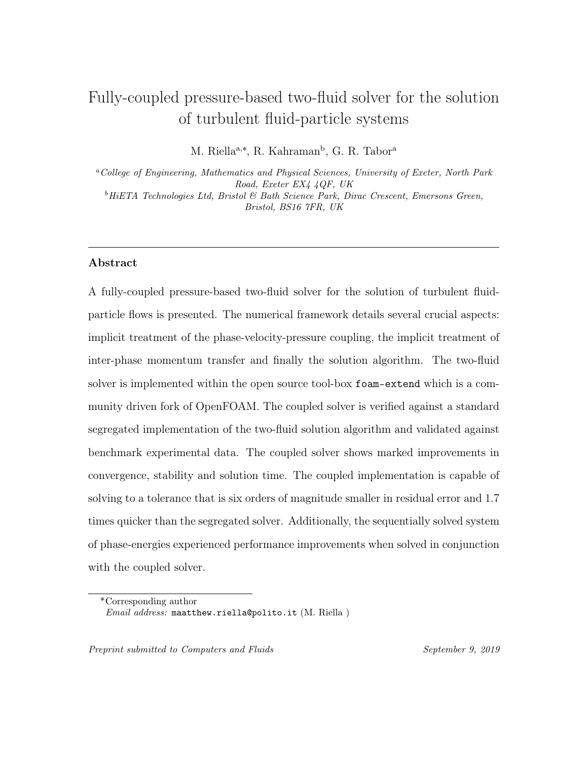<span id="page-18-0"></span>
$$
\langle \mathbf{u}_f \rangle = \frac{\tilde{\mathbf{u}}_{f,f}}{1 + d_{Tf,f} + d_{Df,f}} - \left(\frac{\tilde{\mathbf{u}}_f}{1 + d_{Tf} + d_{Df}}\right)_f
$$

$$
+ \frac{d_{Tf,f}\mathbf{u}_{f,f}^{t-1}}{1 + d_{Tf,f} + d_{Df,f}} - \left(\frac{d_{Tf}\mathbf{u}_f^{t-1}}{1 + d_{Tf} + d_{Df}}\right)_f
$$

$$
+ \frac{d_{Df,f}\mathbf{u}_{p,f}}{1 + d_{Tf,f} + d_{Df,f}} - \left(\frac{d_{Df}\mathbf{u}_p}{1 + d_{Tf} + d_{Df}}\right)_f
$$
(39)
$$
- \frac{\nabla p_{f,f}}{[1 + d_{Tf,f} + d_{Df,f}] \rho_f \mathbf{A}_{f,f}} + \left(\frac{\nabla p_f}{[1 + d_{Tf} + d_{Df}] \rho_f \mathbf{A}_f}\right)_f
$$

 which leads to exact corrections of each face value. However, due to the linear interpolation of many of these variables their respective face values already con- tain their best approximation. As shown in Cubero et al. [\[9\]](#page-50-4) approximating the pseudo-velocities through a linear interpolation reduces them to zero. The cell face values of the momentum-weighted coefficients and the numerical coefficients can be approximated as:

$$
\mathrm{d}_{Ti,f} = (\mathrm{d}_{Ti})_f; \qquad \mathrm{d}_{Di,f} = (\mathrm{d}_{Di})_f; \qquad \mathbf{A}_{i,f} = (\mathbf{A}_i)_f. \tag{40}
$$

<sup>209</sup> The face pressure is calculated from the cell centre assuming central differencing, <sup>210</sup> so that

$$
\nabla p_{f,f} = \nabla_f^{\perp} p_f. \tag{41}
$$

 In Finite Volume CFD codes we can simplify the face interpolation by writing  $(\mathcal{A}_i \phi_i)_f = \mathcal{A}_i(\phi_i)_f$  essentially taking the independent variables outside of the in- terpolation and leaving the dependant variable. This is utilised throughout each correction term.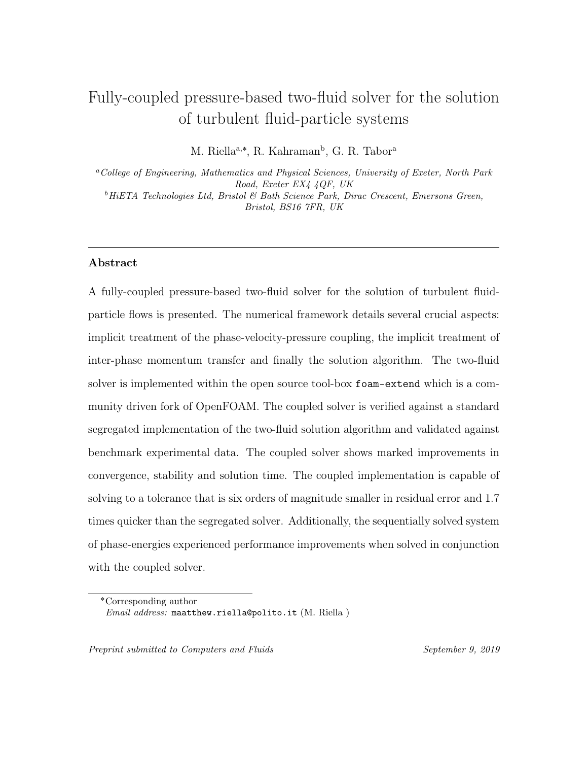<span id="page-19-0"></span>215 Applying the above simplifications and invoking Eq.  $38 \&$  $38 \&$  Eq.  $39$ , which now <sup>216</sup> reads as:

$$
\langle \mathbf{u}_p \rangle = \langle \mathbf{u}_p \rangle_T + \langle \mathbf{u}_p \rangle_D + \langle \mathbf{u}_p \rangle_{\nabla p_f},\tag{42a}
$$

$$
\langle \mathbf{u}_f \rangle = \langle \mathbf{u}_f \rangle_T + \langle \mathbf{u}_f \rangle_D + \langle \mathbf{u}_f \rangle_{\nabla p_f},\tag{42b}
$$

217 where the shared coefficients in each phase are  $\langle \mathbf{u}_i \rangle_T$ , temporal corrections are:

$$
\langle \mathbf{u}_i \rangle_T = \frac{(\mathbf{d}_{Ti})_f [\mathbf{u}_{i,f}^{t-1} - (\mathbf{u}^{t-1})_f]}{1 + (\mathbf{d}_{Ti})_f + (\mathbf{d}_{Di})_f},\tag{43}
$$

218 and  $\langle \mathbf{u}_i \rangle_D$ , drag corrections are:

$$
\langle \mathbf{u}_i \rangle_D = \frac{(\mathrm{d}_{Di})_f [\mathbf{u}_{j,f} - (\mathbf{u}_j)_f]}{1 + (\mathrm{d}_{Ti})_f + (\mathrm{d}_{Di})_f},\tag{44}
$$

 $_{\rm ^{219}}$  and  $\langle {\bf u}_f \rangle_{\nabla p_f},$  pressure correction are:

 $\mathbf{r}$ 

$$
\langle \mathbf{u}_i \rangle_{\nabla p_f} = \frac{-\nabla_f^{\perp} p_f + (\nabla p_f)_f}{\left[1 + (\mathbf{d}_{Ti})_f + (\mathbf{d}_{Di})_f\right] \rho_i(\mathbf{A}_i)_f},\tag{45}
$$

#### <sup>220</sup> 4.3. Construction of implicit pressure equation

<sup>221</sup> Analogous to the segregated implementation an equation for the mixture pressure  $222$  can be found by inserting the phase-fluxes into the continuity equation (Eq. [19\)](#page-11-1). Here <sup>223</sup> we introduce the velocity-corrected flux to read:

$$
\phi_{i,f} = [(\mathbf{u}_i)_f + \langle \mathbf{u}_i \rangle] \cdot \mathbf{S}_f, \tag{46}
$$

 $224$  then inserting the relation into the continuity equation (Eq. [19\)](#page-11-1) reading:

$$
\nabla \cdot \left( (\alpha_p)_f [(\mathbf{u}_p)_f + \langle \mathbf{u}_p \rangle] \cdot \mathbf{S}_f + (\alpha_f)_f [(\mathbf{u}_f)_f + \langle \mathbf{u}_f \rangle] \cdot \mathbf{S}_f \right),\tag{47}
$$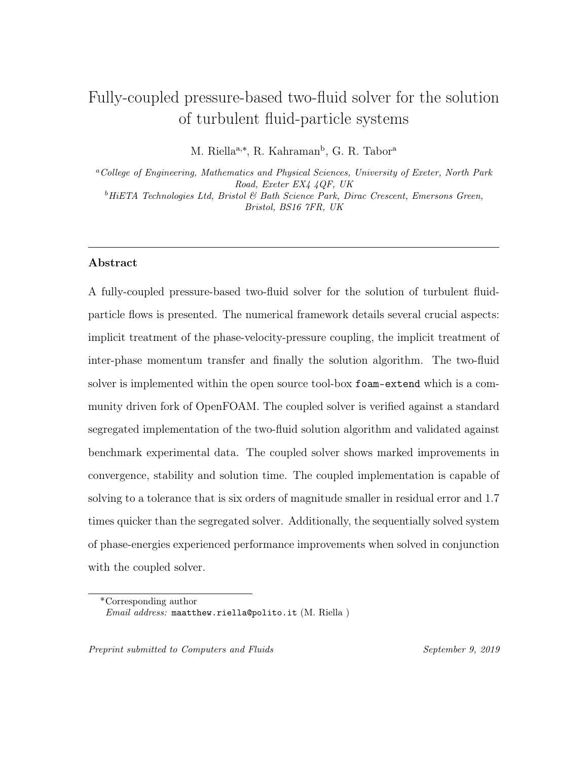<sup>225</sup> then inserting the corrections velocities in Eqs. [42](#page-19-0) results in the full pressure <sup>226</sup> equation: ¸

$$
\nabla \cdot [D_p \nabla_f^{\perp} p_f | \mathbf{S}_f] = \nabla \cdot \left( \sum_{k=1}^P (\alpha_k)_f (\mathbf{u}_k)_f \cdot \mathbf{S}_f \right) + \nabla \cdot [D_p (\nabla p_f)_f \cdot \mathbf{S}_f]
$$

$$
+ \nabla \cdot \left[ \sum_{k=1}^P (\alpha_k)_f \left( \frac{(\mathrm{d}_{Tk})_f [\phi_k^{t-1} - (\mathbf{u}_k^{t-1})_f \cdot \mathbf{S}_f]}{1 + (\mathrm{d}_{Tk})_f} + \frac{\sum_{m=1}^P (\mathrm{d}_{mi})_f [\phi_m - (\mathbf{u}_m)_f \cdot \mathbf{S}_f]}{1 + (\mathrm{d}_{Tm})_f + (\mathrm{d}_{Dm})_f} \right) \right],
$$
(48)

<sup>227</sup> where the pressure diffusivity coefficient reads as

$$
D_p = \sum_{k=1}^{P} \frac{(\alpha_k)_f}{[1 + (\mathbf{d}_{Tk})_f + (\mathbf{d}_{Dk})_f]\rho_k(\mathbf{A}_k)_f}.
$$
(49)

# <sup>228</sup> 4.4. Discretised momentum equations

<sup>229</sup> Here we present the phase-momentum equations in their implemented form as <sup>230</sup> they will be referenced later when discussing the block-coefficients.

<span id="page-20-0"></span>
$$
\begin{aligned}\n\left[\frac{\partial \left[\mathbf{u}_p\right]}{\partial t}\right] + \left[\nabla \cdot (\mathbf{u}_p[\mathbf{u}_p])\right] - \left[(\nabla \cdot \mathbf{u}_p)[\mathbf{u}_p]\right] - \left[\nabla \cdot (\nu_{\text{eff,p}} \nabla [\mathbf{u}_p])\right] \\
-\left[\nabla \cdot (\nu_{\text{eff,p}} \frac{\nabla \alpha_p}{\alpha_p + \delta} [\mathbf{u}_p])\right] - \left[\nabla \cdot (\nu_{\text{eff,p}} \frac{\nabla \alpha_p}{\alpha_p^*}) [\mathbf{u}_p]\right]\n\end{aligned}\n\right]
$$
\n
$$
+ \left[\frac{\beta [\mathbf{u}_p]}{\alpha_p \rho_p}\right] - \left[\frac{\beta [\mathbf{u}_f]}{\alpha_p \rho_p}\right] + \left[\frac{1}{\rho_p} [\nabla p_f]\right]
$$
\n
$$
= -\frac{\nabla \alpha_p}{\alpha_p + \delta} \cdot \overline{\mathbf{R}}_{\text{eff,p}}^c - \nabla \cdot \overline{\mathbf{R}}_{\text{eff,p}}^c - \frac{\beta \mathcal{D} \nabla \alpha_p}{\alpha_p \rho_p} - \frac{\nabla p_p}{\alpha_p^* \rho_p} + \mathbf{g}
$$
\n
$$
\left[\frac{\partial [\mathbf{u}_f]]}{\partial t}\right] + \left[\nabla \cdot (\mathbf{u}_f[\mathbf{u}_f])\right] - \left[(\nabla \cdot \mathbf{u}_f)[\mathbf{u}_f]\right] - \left[\nabla \cdot (\nu_{\text{eff,f}} \nabla [\mathbf{u}_f])\right] \\
-\left[\nabla \cdot (\nu_{\text{eff,f}} \frac{\nabla \alpha_f}{\alpha_f + \delta} [\mathbf{u}_f])\right] - \left[\nabla \cdot (\nu_{\text{eff,f}} \frac{\nabla \alpha_f}{\alpha_f^*}) [\mathbf{u}_f]\right]\right] \\
+ \left[\frac{\beta [\mathbf{u}_f]}{\alpha_f \rho_f}\right] - \left[\frac{\beta [\mathbf{u}_p]}{\alpha_f \rho_f}\right] + \left[\frac{1}{\rho_f} [\nabla p_f]\right] \\
= -\frac{\nabla \alpha_f}{\alpha + \delta} \cdot \overline{\mathbf{R}}_{\text{eff,f}}^c - \nabla \cdot \overline{\mathbf{R}}_{\text{eff
$$

 $\alpha_p \rho_p$ 

<span id="page-20-1"></span> $\alpha_f + \delta$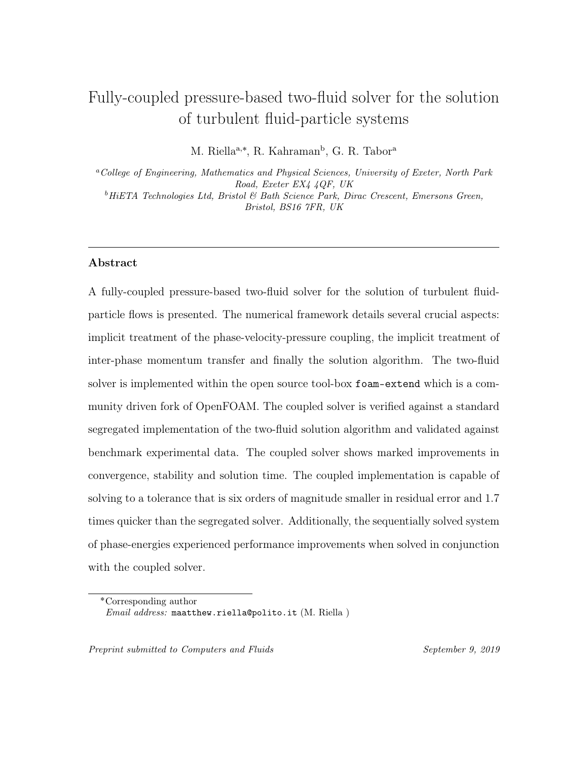#### <sup>231</sup> 4.5. Discretised pressure equation

 The final implemented pressure equation is presented below. The approach out- lined in Cubero and Fueyo [\[8\]](#page-50-5), Darwish et al. [\[11\]](#page-50-0), Ferreira et al. [\[13\]](#page-50-3) is followed to arrive at a pressure equation for the implicit solution of the phase-velocity-pressure coupling. The implicit divergence of the phase-velocities are corrected with the addi- tion of the opposing drag contribution, as shown in Ferreira et al. [\[13\]](#page-50-3). Additionally,  $_{237}$  the whole equation is multiplied by  $-1$  to enhance positivity of the block-coefficient matrix. The implemented pressure equation thus reads:  $\overline{a}$ ;

<span id="page-21-2"></span>
$$
-\nabla \cdot \left[ D_p \nabla_f^{\perp} p_f | \mathbf{S}_f \right] + \nabla \cdot \left[ (\alpha_k)_f - \sum_{m=1}^P \frac{(\alpha_m)_f (\mathrm{d}_{Dm})_f}{1 + (\mathrm{d}_{Tm})_f + (\mathrm{d}_{Dm})_f} (\left[ \mathbf{u}_k \right])_f \cdot \mathbf{S}_f \right]
$$
  
\n
$$
= \nabla \cdot \left[ D_p (\nabla p_f)_f \cdot \mathbf{S}_f \right] \qquad (52)
$$
  
\n
$$
+ \nabla \cdot \left[ \sum_{k=1}^P (\alpha_k)_f \left( \frac{(\mathrm{d}_{Tk})_f [\phi_k^{t-1} - (\mathbf{u}_k^{t-1})_f \cdot \mathbf{S}_f]}{1 + (\mathrm{d}_{Tk})_f + (\mathrm{d}_{Dk})_f} + \frac{\sum_{m=1}^P (\mathrm{d}_{Dm})_f \phi_m}{1 + (\mathrm{d}_{Tk})_f + (\mathrm{d}_{Dk})_f} \right) \right].
$$

#### <sup>239</sup> 4.6. Correction of the phase fluxes

<sup>240</sup> From the solution of the block-coupled matrix, we find new values for the phase-<sup>241</sup> velocity and pressure. Then the face fluxes need to be updated by including the <sup>242</sup> corrections to the phase-velocity that were added to the pressure equation.

<span id="page-21-0"></span>
$$
\phi_p = (\mathbf{u}_p)_f \cdot \mathbf{S}_f + \frac{(\mathrm{d}_{Tp})_f [\phi_p^{t-1} - (\mathbf{u}_p^{t-1})_f \cdot \mathbf{S}_f]}{1 + (\mathrm{d}_{Tp})_f + (\mathrm{d}_{Dp})_f} + \frac{(\mathrm{d}_{Dp})_f [\phi_f^{n-1} - (\mathbf{u}_f^n)_f \cdot \mathbf{S}_f]}{1 + (\mathrm{d}_{Tp})_f + (\mathrm{d}_{Dp})_f} + \frac{[-\nabla_f^{\perp} p_f^n | \mathbf{S}_f] + (\nabla p_f^{n-1})_f \cdot \mathbf{S}_f]}{[1 + (\mathrm{d}_{Tp})_f + (\mathrm{d}_{Dp})_f] \rho_p(\mathbf{A}_p)_f},
$$
\n(53)

<span id="page-21-1"></span>
$$
\phi_f = (\mathbf{u}_f)_f \cdot \mathbf{S}_f + \frac{(d_{Tf})_f [\phi_f^{t-1} - (\mathbf{u}_f^{t-1})_f \cdot \mathbf{S}_f]}{1 + (d_{Tf})_f + (d_{Df})_f} + \frac{(d_{Df})_f [\phi_p^{n-1} - (\mathbf{u}_p^n)_f \cdot \mathbf{S}_f]}{1 + (d_{Tf})_f + (d_{Df})_f} + \frac{[-\nabla_f^{\perp} p_f^n | \mathbf{S}_f] + (\nabla p_f^{n-1})_f \cdot \mathbf{S}_f]}{[1 + (d_{Tf})_f + (d_{Df})_f] \rho_f(\mathbf{A}_f)_f}, \tag{54}
$$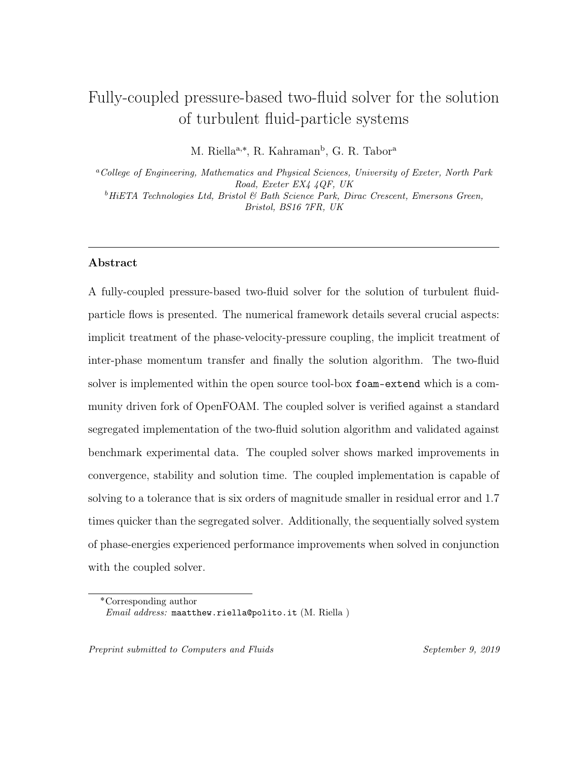<sup>243</sup> where the superscripts n and  $n - 1$  denote the value from the present iteration <sup>244</sup> and the previous iteration, respectively. The outline of the solution procedure can <sup>245</sup> be found below.

246

The numerical procedure adopted in the coupled algorithm:

- 1. Solve the volume fraction (Eq. [27\)](#page-13-0).
- 2. Construct  $\mathbf{A}_i$  and  $\mathbf{H}_i$  in each phase.
- 3. Update the temporal and drag coefficients in Eqs. [30.](#page-15-1)
- 4. Update the momentum-weighted coefficients in Eq. [33](#page-16-1) & [34.](#page-16-2)
- 5. Update the correction velocities in each phase using Eq. [42.](#page-19-0)
- 6. Assemble and solve the 7x7 block-coupled matrix.
	- (a) Feed in the phase momentum equations.
	- (b) Feed in the pressure equation.
	- (c) Remove cross-coupling source and place in implicit off-diagonal.
- 7. Apply the flux update using Eqs. [53](#page-21-0) & [54.](#page-21-1)
- 8. Solve the system of phase energy equations
- 9. Advance in time.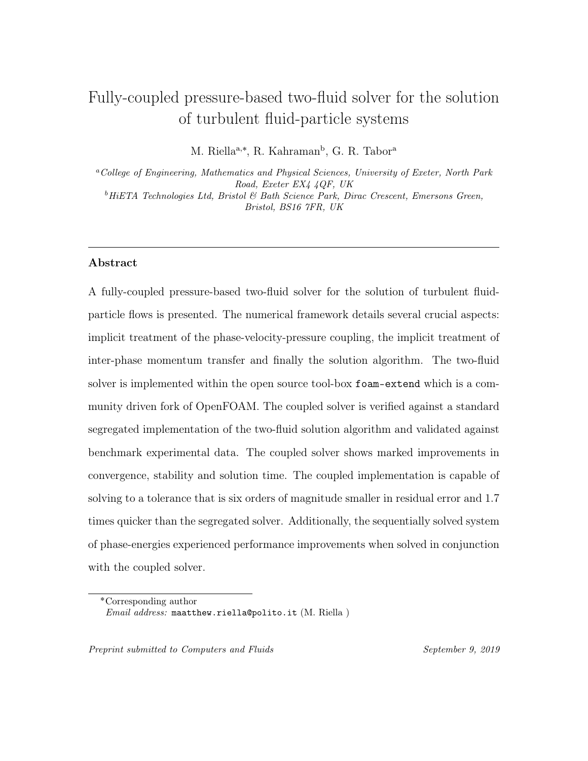## 248 4.7. Implicitly coupled phase-velocity-pressure,  $\mathbf{u}_i - p_f$  system

<sup>249</sup> The system of linear algebraic equations discretised in a Finite Volume framework <sup>250</sup> can be written as:

<span id="page-23-1"></span>
$$
A_{i,j}x_i = b_i,\tag{55}
$$

<sup>251</sup> where  $A_{i,j}$  is the matrix representing diagonal and off-diagonal coefficients.  $x_i$  is  $_{252}$  the solution variable and finally  $b_i$  is the source vector. This discretisation, within a block-coupled solution, can be easier expressed in two steps [\[34\]](#page-53-5): the first level, represents the spatial coupling across the computational domain (Eq. [56\)](#page-23-0) and the second level, which represents the inter-equation coupling i.e. phase-velocity-pressure coupling. Expressing a system with N unknowns, in which N is denoted as the number of cells, Eq. [55](#page-23-1) can be written as:

<span id="page-23-0"></span>
$$
\begin{bmatrix} a_{1,1} & a_{1,2} & \dots & a_{1,N} \\ a_{2,1} & a_{2,2} & \dots & a_{2,N} \\ \vdots & \vdots & \ddots & \vdots \\ a_{N,1} & a_{N,2} & \dots & a_{N,N} \end{bmatrix} \begin{bmatrix} x_1 \\ x_2 \\ \vdots \\ x_N \end{bmatrix} = \begin{bmatrix} b_1 \\ b_2 \\ \vdots \\ b_N \end{bmatrix}, \qquad (56)
$$

<sup>258</sup> where  $a_{i,j}$  represents a block-coefficient and is spatially coupled between cells i <sup>259</sup> and j, the solution vector,  $x_i$  contains the unknowns at cell i and finally,  $b_i$  is the <sup>260</sup> source vector for cell i. As mentioned previously, a second level of discretisation is <sup>261</sup> present within a block-coupled matrix.

 $262$  The solution vector, at cell i now reads: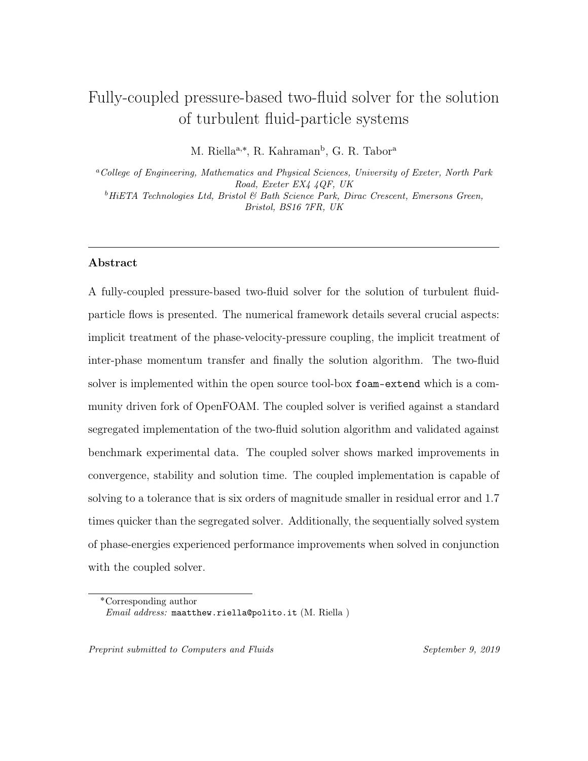<span id="page-24-0"></span>
$$
x_{i} = \begin{bmatrix} u_{p,xi} \\ u_{p,yi} \\ u_{p,zi} \\ u_{f,xi} \\ u_{f,yi} \\ u_{f,zi} \\ u_{f,zi} \\ p_{f,i} \end{bmatrix}, \qquad b_{i} = \begin{bmatrix} b_{u_{p,xi}} \\ b_{u_{p,yi}} \\ b_{u_{p,zi}} \\ b_{u_{f,xi}} \\ b_{u_{f,yi}} \\ b_{u_{f,zi}} \\ b_{u_{f,zi}} \\ b_{u_{f,zi}} \\ b_{p_{f,i}} \end{bmatrix}, \qquad (57)
$$

<sup>263</sup> where  $u_{k,xi}$  represents the x component of the respective phase velocity in cell *i*,  $_{264}$  similarly,  $u_{k,yi}$  and  $u_{k,zi}$  represents the y and z components of the respective phase 265 velocity and finally  $p_{f,i}$  represents the pressure field in cell i. In the source vector, <sup>266</sup> the source term for each variable is found following the same notation as the solution <sup>267</sup> vector.

 $\epsilon$ <sup>268</sup> Each block-matrix coefficient,  $a_{i,j}$  is a sub-matrix representing the coupling be-<sup>269</sup> tween the phase-velocity-pressure components which comprises of a 7x7 block matrix <sup>270</sup> which can be written as follows:  $\mathbf{r}$ 

$$
a_{u_{p,xi},u_{p,xj}} \n\begin{bmatrix}\na_{u_{p,xi},u_{p,xj}} & 0 & 0 & a_{u_{p,xi},u_{f,xj}} & 0 & 0 & a_{u_{p,xi},p_{f,j}} \\
0 & a_{u_{p,yi},u_{p,yj}} & 0 & 0 & a_{u_{p,yi},u_{f,yj}} & 0 & a_{u_{p,yi},p_{f,j}} \\
0 & 0 & a_{u_{p,zi},u_{p,zj}} & 0 & 0 & a_{u_{p,zi},u_{f,zj}} & a_{u_{p,zi},p_{f,j}} \\
a_{u_{f,xi},u_{p,xj}} & 0 & 0 & a_{u_{f,xi},u_{f,xj}} & 0 & 0 & a_{u_{f,xi},p_{f,j}} \\
0 & a_{u_{f,yi},u_{p,yj}} & 0 & 0 & a_{u_{f,yi},u_{f,yj}} & 0 & a_{u_{f,yi},p_{f,j}} \\
0 & 0 & a_{u_{f,zi},u_{p,zj}} & 0 & 0 & a_{u_{f,zi},u_{f,zj}} & a_{u_{f,zi},p_{f,zj}} \\
a_{p_{f,i},u_{p,xj}} & a_{p_{f,i},u_{p,yj}} & a_{p_{f,i},u_{p,zj}} & a_{p_{f,i},u_{f,yj}} & a_{p_{f,i},u_{f,zj}} & a_{p_{f,i},p_{f,j}}\n\end{bmatrix}.
$$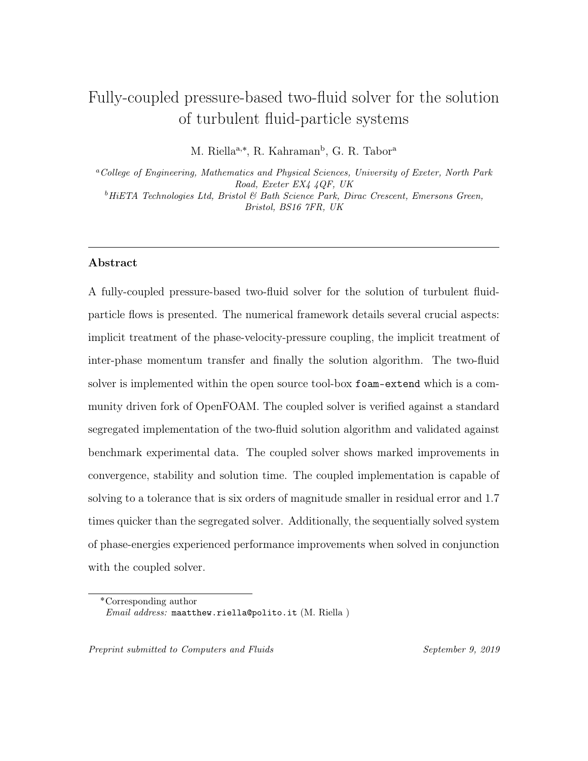<sup>271</sup> Given the structure of the block-coefficient, a description of the coefficients and <sup>272</sup> their physical meaning is required. We will now focus our attention on four sections <sup>273</sup> of the block-coefficient and for brevity concern ourselves with the particle-phase <sup>274</sup> coefficients.  $\mathbf{r}$  $\overline{a}$  $\mathbf{r}$ fi

$$
\begin{bmatrix} a_{u_{p,xi},u_{p,xy}} & 0 & 0 \ 0 & a_{u_{p,yi},u_{p,yy}} & 0 \ 0 & 0 & a_{u_{p,zi},u_{p,zy}} \end{bmatrix}; \begin{bmatrix} a_{u_{p,xi},u_{f,xy}} & 0 & 0 \ 0 & a_{u_{p,yi},u_{f,yy}} & 0 \ 0 & 0 & a_{u_{p,zi},u_{f,zy}} \end{bmatrix}.
$$
 (59)

 The first 3x3 block represents the coupling between the velocity components. These coefficients are filled by the implicitly discretised directional momentum equa- tions pertaining to the time derivative, convection, diffusion and drag in Eqs. [50](#page-20-0)  $278 \& 51$ . The explicitly discretised terms are moved to the source vector, Eq. [57](#page-24-0) i.e. 279 the terms found on the RHS of Eqs.  $50 \& 51$  $50 \& 51$ . The second 3x3 block introduces the cross-coupling coefficients. These represent the implicit treatment of drag which includes the phase-velocity of the opposing phase and is the eighth term on the LHS 282 of Eqs.  $50 \& 51$  $50 \& 51$ .

»

fi

<span id="page-25-0"></span>
$$
\begin{bmatrix} a_{u_{p,x_i},p_{f,j}} \\ a_{u_{p,y_i},p_{f,j}} \\ a_{u_{p,z_i},p_{f,j}} \end{bmatrix}; \qquad \begin{bmatrix} a_{p_{f,i},u_{p,x_j}} & a_{p_{f,i},u_{p,y_j}} & a_{p_{f,i},u_{p,z_j}} \end{bmatrix}.
$$
 (60)

 The first 1x3 block in Eq. [60](#page-25-0) denotes the phase-velocity-pressure coupling in the momentum equation. This pertains to the implicit treatment of the pressure 285 gradient, the ninth term in Eqs.  $50 \& 51$  $50 \& 51$ . The second block, 3x1 denotes the phase-velocity-pressure coupling in the pressure equation. This pertains to the implicit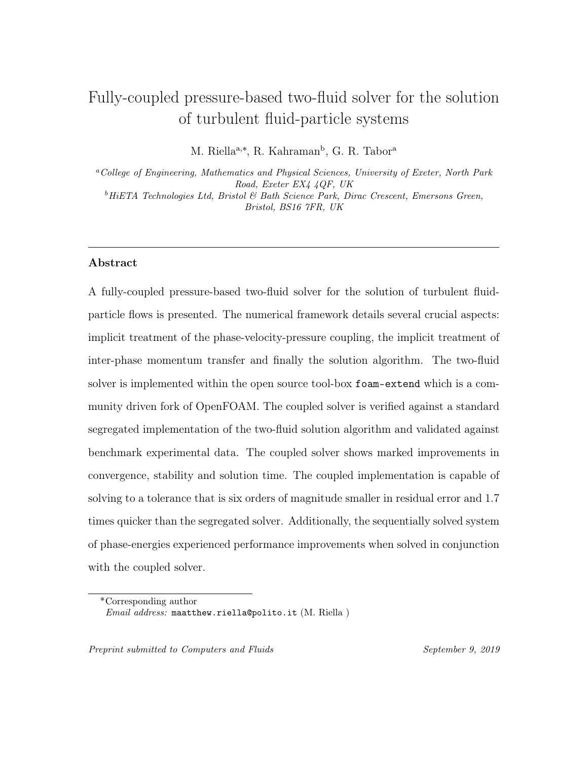<sup>287</sup> treatment of the terms inside in the divergence operator in Eq. [52](#page-21-2) i.e. the second term, with explicit boundary contributions populating the source vector,  $b_{p_{f,i}}$ .

<sup>289</sup> The implicitly treated pressure on the LHS of Eq. [52](#page-21-2) is fed into the coefficient 290  $a_{p_{f,i},p_{f,j}}$  with the explicit boundary contributions being fed into the corresponding source vector  $b_{p_{f,i}}$ . Finally, the explicit terms on the RHS of Eq. [52](#page-21-2) are fed into the 292 SOUICE Vector,  $b_{p_{f,i}}$ .

 Within the community driven branch of OpenFOAM called foam-extend several  $_{294}$  numerical tools have been developed to house coupled solvers [\[4,](#page-49-5) [7,](#page-49-6) [18\]](#page-51-7). The block- matrix machinery is extended in order to construct a 7x7 block matrix and ensure the correct populating of matrix coefficients. The matrix solvers are then used to solve the phase-velocity-pressure coupled system.

#### <sup>298</sup> 4.8. Simulation set-up and geometry

 The geometry used in the experiment of Tsuji et al. [\[33\]](#page-53-6) comprises of a vertically facing pipe with a diameter (D) of 0.035m and can be seen schematically in Fig. [1.](#page-26-0) 301 The length of the pipe (L) including the development section is,  $L = 5.2m$ . The mesh size is 50 cells in the x direction and 20 in the y direction with adequate spacing  $_{303}$  to ensure a  $y^{+} > 30$  criterion can be prescribed for the wall function. Due to the computational power available, and the amount of coefficients that need to be stored for each cell in the coupled solver, the mesh size had to be limited.

<span id="page-26-0"></span>

Figure 1: Schematic of the computational domain.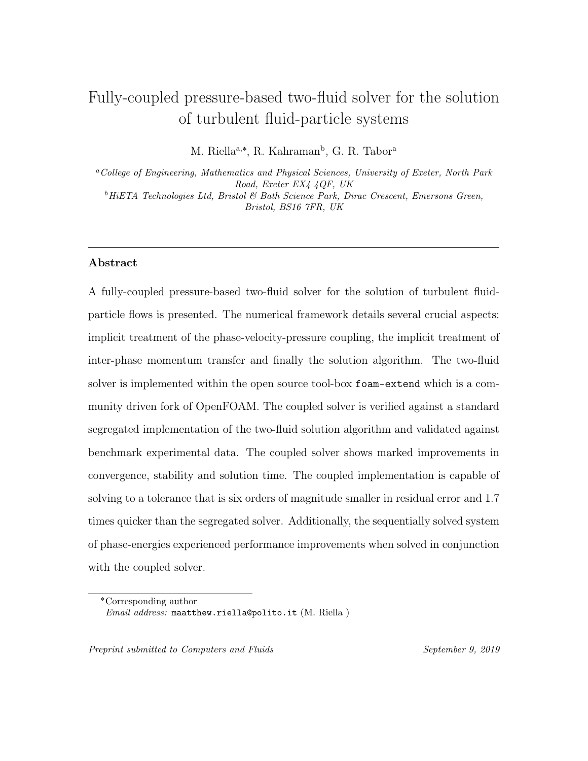At the inlet a Dirichlet boundary condition is prescribed for both phase velocities and a Neumann condition for pressure. At the outlet a Dirichlet boundary condition is prescribed for pressure and a Neumann condition for both phase velocities. For the particulate phase wall boundary conditions a Neumann boundary condition is prescribed for the velocity and turbulence statistics. For the fluid-phase, the no slip wall condition is prescribed for velocity and the standard wall functions are employed 312 for the turbulence statistics. Both  $k_p$  and  $\varepsilon_p$  are initialised as 1/3rd of their fluid 313 counterpart with  $\Theta_p = 1.0 \times 10^{-8} \text{m}^2 \text{s}^{-2}$ .

 Table [2](#page-27-0) details the cases simulated in this work. For the majority of the cases the centreline velocities were not recorded therefore the bulk velocities have been used. 316 The mean velocity  $(U_i^+ = u_x/u_m)$  and turbulence intensity  $(u_i^+ = (0.5k_i)^{1/2}/u_m)$  are normalised by the bulk velocity,  $u_m$  which is taken from the simulation due to the lack of recorded values in the experiment.

| Case | Mass loading | $d_p$   $\mu$ m | Density $\left[kgm^{-3}\right]$ | $U_m$  m/s |
|------|--------------|-----------------|---------------------------------|------------|
|      |              |                 | 1020                            | 15.6       |
|      | 2.1          |                 |                                 | 15.3       |
|      | $1.3\,$      | 0.5             | $\overline{\phantom{a}}$        | 10.8       |
|      | $2.9\,$      |                 |                                 | 10.8       |

<span id="page-27-0"></span>Table 2: Table of simulated cases

 Both the coupled and segregated solvers solve the phase-energy system of equa- tions in a sequential manner using generic relaxation factors of 0.7 and a PGiCG solver. The coupled solver employs the ILU preconditioner and the biconjugate gra- dient stabilised solver (BiCGSTAB) with no relaxation factors. For the segregated system of equations the pressure equation was solved using the generalised alge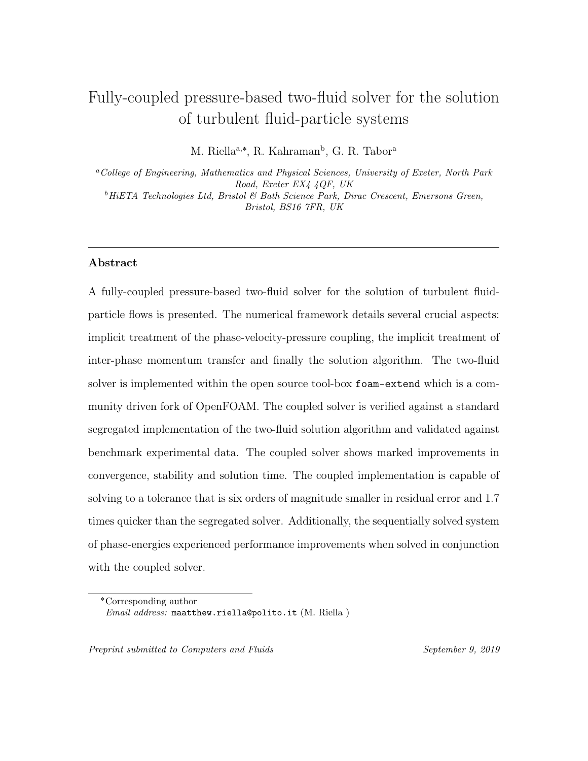braic multi-grid (GAMG) with a relaxation factor of 0.3. The volume fraction is solved using Multi-dimensional Universal Limiter with Explicit Solution (MULES) [\[40\]](#page-54-1) which is a flux-corrected transport algorithm which ensures robustness, stability and convergence. Time derivative terms are discretised using the first order accu- rate implcit Euler scheme, gradients are discretised using the Gauss linear scheme, convective terms are discretised using the first order upwind scheme. Finally, Lapla- cians are discretised with the second order accurate central differencing scheme. All simulations were run on a Dell XPS 13 - Intel Core i7 with 8GB of RAM.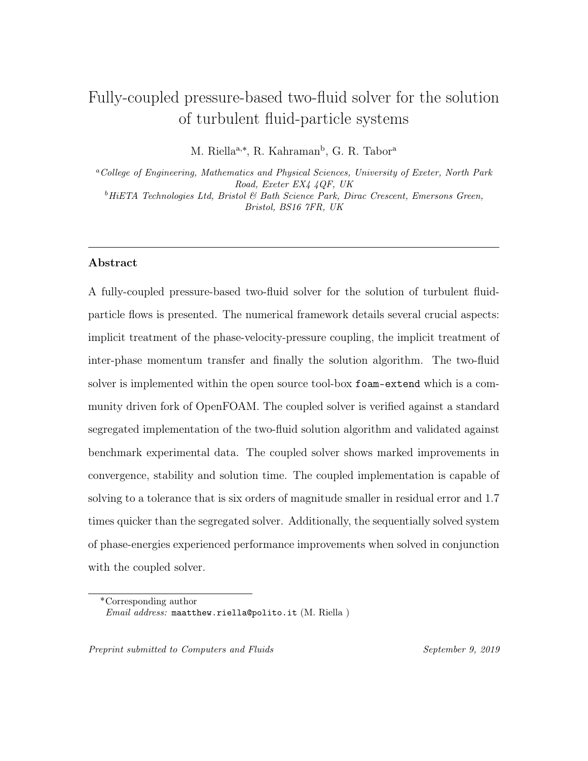#### 5. Results and discussion



<span id="page-29-0"></span>

Figure 2: Distribution of pressure across the horizontal midsection of the pipe.

Figure 3: Distribution of the phase-velocities across the horizontal midsection of the pipe.

 Fig. [2](#page-29-0) shows a comparison of the pressure drop across the pipe in both the coupled and segregated solver. Both solvers show identical behaviour with a linear drop across the length of the pipe. From the authors experience, this was greatly influenced by the momentum interpolation technique of Cubero et al. [\[9\]](#page-50-4) and implicit treatment of the drag correction in the divergence operator (Eq. [52\)](#page-21-2). In particular the behaviour of the pressure drop in cells close to the inlet proved particularly challenging and could not be realised without the the CMI of Cubero and Fueyo [\[8\]](#page-50-5). 

<sup>[3](#page-29-0)42</sup> Fig. 3 shows a comparison of the phase-velocities across the pipe in both the cou-pled and segregated solver. To highlight the influence of the inter-phase momentum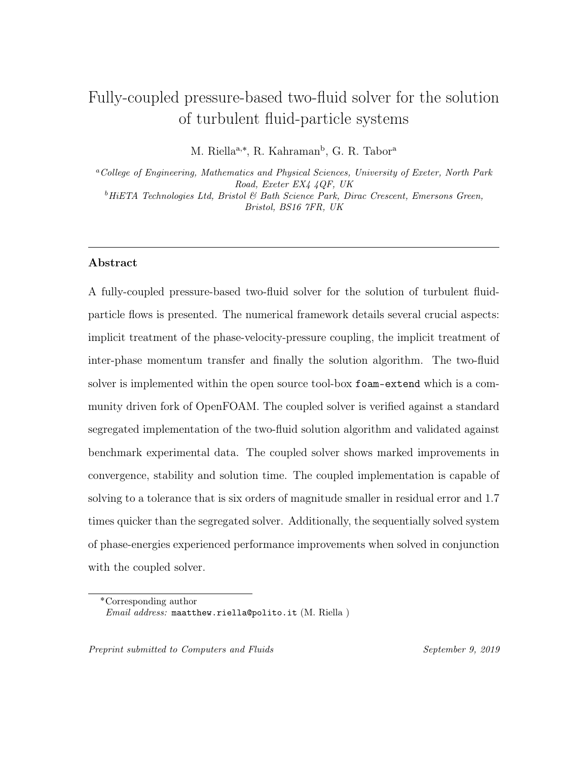<sup>344</sup> transfer the inlet velocity for the particle phase is a  $\approx 10\%$  of the fluid phase. Again <sup>345</sup> identical behaviour between solvers is demonstrated.

<span id="page-30-0"></span>

<sup>346</sup> 5.2. Validation of the coupled solver

Figure 4: Mean fluid velocity. Symbols Tsuji et al. [\[33\]](#page-53-6); curves are predictions for Case  $1 \& 2$ . et al. [33]; curves are predictions for Case  $1 \& 2$ . Figure 5: Mean particle velocity. Symbols Tsuji

<sup>3[4](#page-30-0)7</sup> Fig. 4 shows the mean fluid velocity profiles. Overall, the trend of the fluid be- haviour is captured, with the increase in mass loading resulting in a global reduction of fluid velocity (due to the direction of the body force) in both experimental and numerical predictions. In Case 1, there is an almost global over-prediction of the 351 mean velocity albeit small. In the near-wall region  $(r/R > 0.75)$  the momentum loss is difficult to capture correctly. The experimental results suggest that the numerical model is not producing enough mean shear. This would result in a higher rate of change in the near-wall region thus falling in line with the experimental data. This lack of momentum loss can also be affected by the co-variance coupling term. As the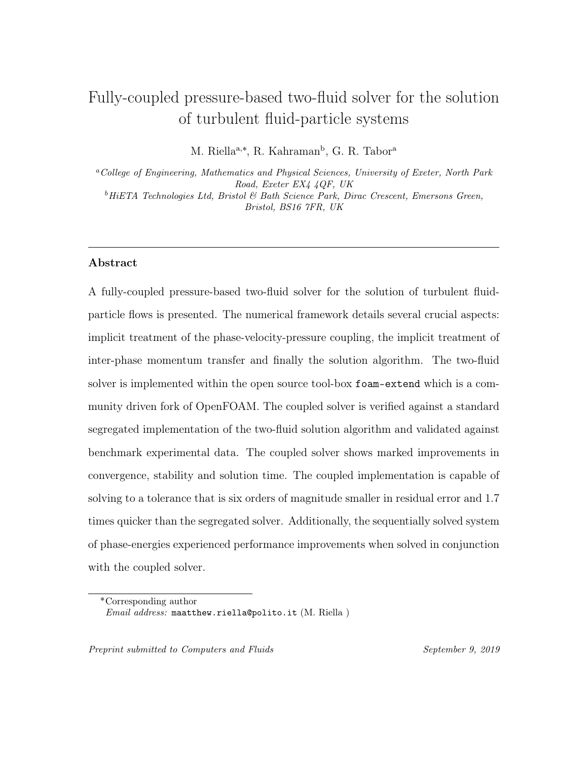particles are tightly coupled with the fluid phase the main mechanism for momentum transfer is drag. An under-prediction in the co-variance term will reduce momentum loss - which would result an over-prediction of mean velocity.

 For Case 2 this over-prediction is exacerbated and with an increased mass load-360 ing, in particular across  $(r/R < 0.5)$ . In the region  $(r/R > 0.75)$  a substantial relative velocity between Case 1 and Case 2 was observed in the experimental data. Throughout the simulations this behaviour was qualitatively predicted showing rea- sonable agreement. It should be noted that the instrument used to measure the flow statistics, namely the laser Doppler Velocimeter (LDV) can be an intrusive way of measuring velocity and turbulence statistics. Additionally, in the near-wall region it becomes particularly challenging to record reliably.

 $\frac{1}{367}$  Fig. [5](#page-30-0) shows the mean particle velocity predictions for Case 1 & 2. In the near wall region the slip condition enables a relative velocity between both phases to develop. 369 Experimentally this resulted in a negative,  $\mathbf{u}_r = \mathbf{u}_f - \mathbf{u}_p$  in the region  $(r/R > 0.75)$ 370 and a positive  $\mathbf{u}_r$  in the  $(r/R < 0.75)$  region. The slip boundary condition exhorts its influence over a quarter of the pipe - a finding that is consistent with the numerical prediction. The main discrepancy between the experimental and numerical results is across the near-wall region. The experimental results indicate that the particles remain largely correlated with the fluid-phases boundary layer. This is expected due to their tight coupling through drag and can be partly predicted by the model as the 376 influence of the fluid phase is felt across the particle velocities across  $(r/R > 0.75)$ .

 Two explanations for this lack of momentum loss can be offered. Firstly, this behaviour indicates that the turbophoresis force that is responsible for wall-normal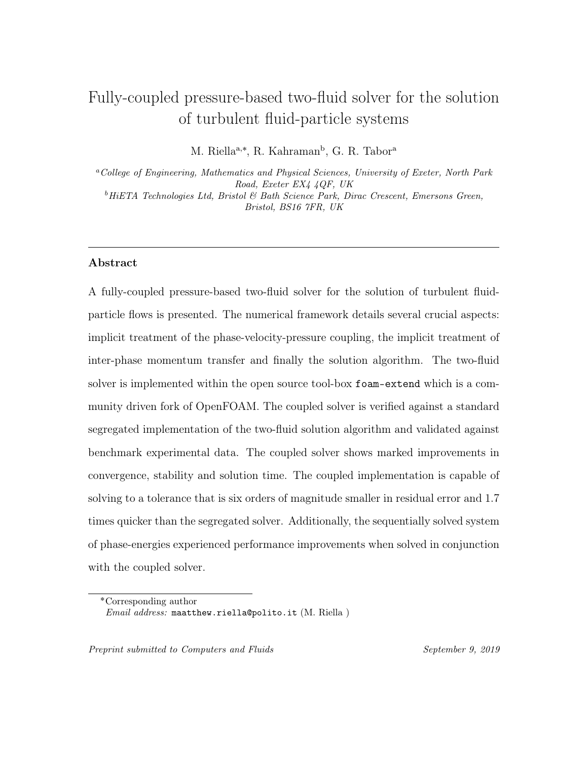migration of particles is being under predicted. Without the redistribution of par- ticles across the width of the pipe a more uniform velocity distribution is seen [\[30\]](#page-53-7). Secondly, the wall boundary condition was taking as slip assuming smooth walls. This is a speculative assumption and with the inclusion of boundary conditions that incorporate the effect of wall roughness [\[29\]](#page-52-4) the momentum loss in the boundary layer would be enhanced resulting in a closer prediction.

<span id="page-32-0"></span>

Figure 6: Mean fluid velocity. Symbols Tsuji et al.  $[33]$ ; curves are predictions for Case 3 & 4. for Case 3 & 4. Symbols Tsuji et al. [\[33\]](#page-53-6); curves are predictions

 $Figs 6 \& 7$  $Figs 6 \& 7$  $Figs 6 \& 7$  $Figs 6 \& 7$  show the results from Cases 3  $\& 4$ . In the former, the predicted mean fluid-velocities are in relatively good agreement with the experimental data with the main discrepancies being seen in the near-wall region. With increased mass loading 388 the difficult to capture [\[22\]](#page-52-6) reduction of fluid velocities in the core region  $(r/R <$  0.5) is reproduced. The increase in particle diameter and mass loading results in an accumulation of particles within the core of the pipe which are being dragged down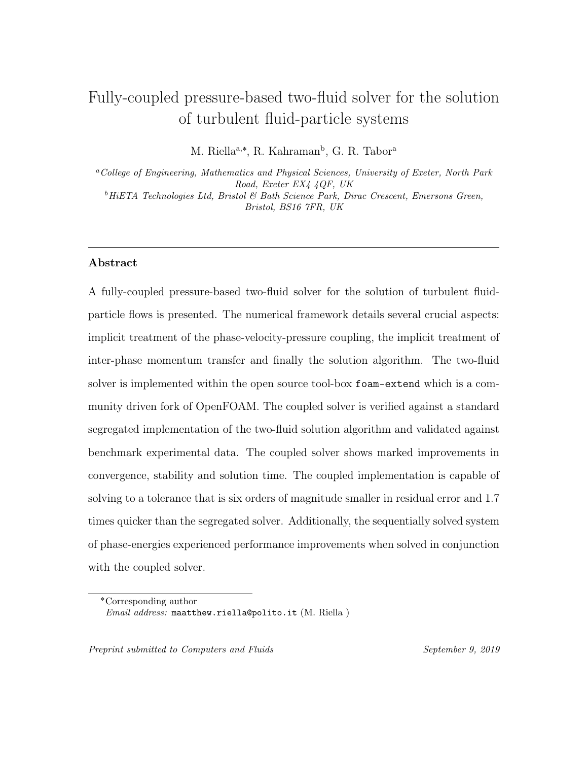by gravity. Due to the increase in Stokes number and increased likelihood of particle 392 collisions - the uncorrelated energy,  $\Theta_p$  experiences an increase in the core of the flow. This ensures that the particles are no longer closely correlated with the carrier 394 flow, i.e. increased dissipation in the correlated energy equations  $k_p - \varepsilon_p$ . Through the co-variance coupling terms (see Table [5\)](#page-48-0), as well as the inter-phase momentum transfer term, this behaviour can be captured. This results in the fluid phase velocity being "dragged" by the particle phase - a complex two-way coupled mechanism that is apparent in the numerical prediction and in the experimental observation. Due to the conservation of momentum across the pipe this results in an increase in the 400 velocities in the  $(0.5 > r/R > 0.75)$ .

 For Case 3, a good agreement is found with the centreline velocity but the main bulk of the velocities leading up to the near-wall region are under-predicted. This behaviour can be better explained by looking at Fig. [7.](#page-32-0) The fluid intensity result for Case 3 illuminates the situation. The over-prediction of the intensity across the centreline would manifest itself in an over-prediction in the turbulent viscosity calculation resulting in the predicted behaviour. Due to the non-linear profile of the experimental turbulence intensity the behaviour is difficult to capture within a Reynolds-Averaged methodology, in particular the use of the wall function also limits the situation further. To this end a near-wall pressure-velocity model has been recently proposed that can circumvent these problems in two-fluid simulations [\[30,](#page-53-7) [31,](#page-53-8) [28\]](#page-52-7).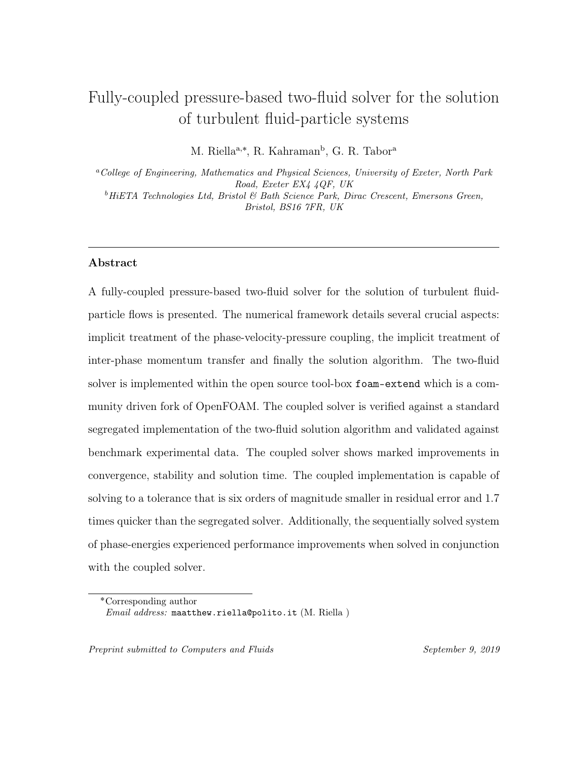#### <sup>412</sup> 5.3. Performance of the coupled solver vs segregated solver

<sup>413</sup> In this section both the coupled and segregated solvers are run for 30 seconds <sup>414</sup> of actual flow time on Case 1 under identical conditions with the CFL number kept <sup>415</sup> constant at 0.5.

 In order to ascertain the magnitude of the estimated error, the normalised residual error estimate is calculated according to Jasak [\[19\]](#page-51-6). The residual is normalised by the dominant diagonal coefficients in order to ascertain the behaviour of each variable more readily. This enables the formulation of a relative error.

$$
\varepsilon_r(\phi) = \frac{|b_i - A_{i,j}x_i|}{|A_{i,j}^n x_i^k - A_{i,j}^{n-1} x_i^{n-1}| + |b_i^k - A_{i,j}^{n-1} x_i^{n-1}|}.
$$
\n(61)

<sup>420</sup> A convergence criterion can be set as:

$$
\varepsilon_r(\phi) \leqslant \varepsilon_{res}.\tag{62}
$$

<sup>421</sup> Although we do not set a stop criterion in this study it should be noted that <sup>422</sup> conventionally residuals are set between  $\varepsilon_r < 10^{-3} - 10^{-6}$ . If we take the latter value <sup>423</sup> as our convergence criterion the two-fluid coupled solver converges in 161s whereas <sup>424</sup> the segregated solver fails to reach values near  $\varepsilon_r(\phi) = 10^{-6}$  and oscillate in the order 425 of  $\varepsilon_r(\phi) = 10^{-3} - 10^{-4}$ .

<sup>426</sup> Throughout we have only shown the residual behaviour for Case 1, although from the author's experience, this was representative of the typical behaviour seen across all four cases. As there are relatively small increases in mass loading the overall residual behaviour remained similar.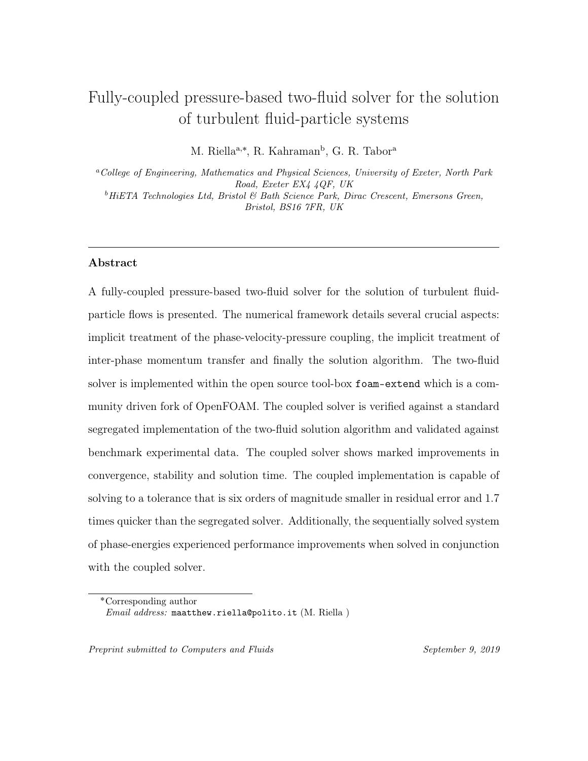<span id="page-35-0"></span>



Figure 8: Pressure residual behaviour for coupled and segregated solver.

Figure 9: Velocity component behaviour for the coupled solver.

 Figs. [8](#page-35-0) and [9](#page-35-0) show the normalised residual behaviour for pressure and phase velocity components. Due to the segregated solution algorithm used the phase ve- locity components are not explicitly solved for and are instead used to predict and correct, hence no data is available for a comparison. Fig. [8](#page-35-0) reveals some quite striking behaviour about the residual behaviour. The coupled two-fluid solver's ini- tial residual, due to the implicit treatment of the pressure correction, starts at the  $\varepsilon_r(p_f) = \mathcal{O}(10^{-4})$  - as the flow is driven by inlet condition for velocity, the pres- sure coefficients do not contain a substantial source. This residual error is driven down by several orders of magnitude within the first few iterations before reaching as an oscillatory steady state at  $\varepsilon_r(p_f) = \mathcal{O}(10^{-11}).$ 

 In the segregated solver typical residual behaviour is observed, showing saw- toothed behaviour, due to the relaxation factor. After some time, similar to the coupled solver, the solution reaches a steady-state with the residual remaining oscil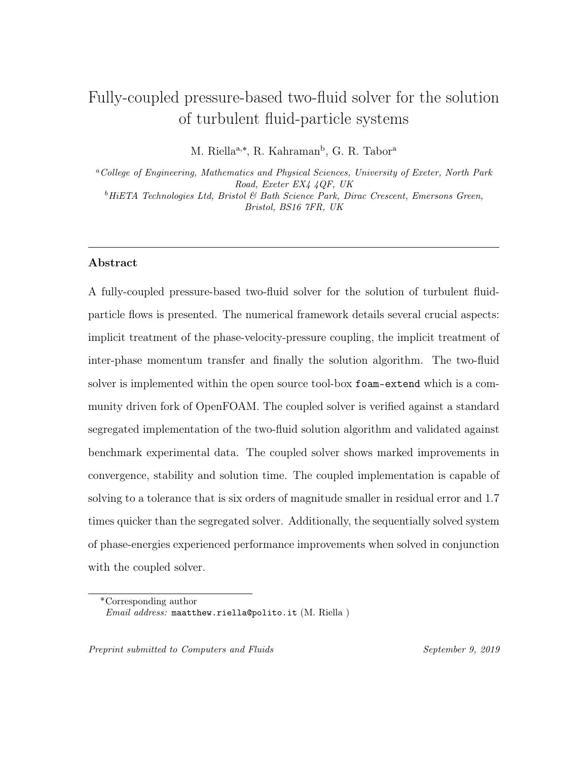latory until the simulation ends. The main contributor to the extension in time is the explicit calculation of the pressure equation. In the segregated solver crucial terms, drag and gravity, are moved to the pressure calculation - this increases the stability of the solution but puts a penalty on the computational time. This often results in a hefty amount of iterations to drive the pressure residual down to its prescribed tolerance before advancing the solution in time.

 Figure [9](#page-35-0) shows the four phase velocity components. It can be seen how the normalised residual behaviour follows the same qualitative behaviour of the pressure residual - a natural consequence of the block-coupled solution. Throughout the solution small spikes and oscillatory behaviour is experienced a feature that was also present in Uroić and Jasak [\[34\]](#page-53-5) and was shown to be an artifact of the linear solver BiCGSTAB. The two largest residuals are the momentum variables in the flow direction, this is expected due to their diagonal coefficients containing the dominant momentum flux and implicit drag correction. It is evident that the implicit treatment of the phase-velocity-pressure has positive benefits on the normalised residual error showing substantial improvements over the explicit treatment.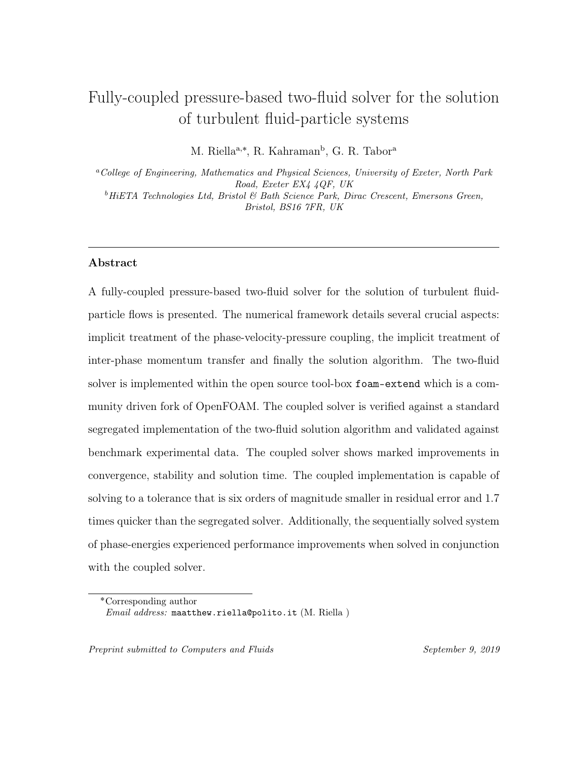<span id="page-37-0"></span>



Figure 10: Fluid turbulent dissipation residual behaviour.

Figure 11: Fluid turbulent kinetic energy residual behaviour.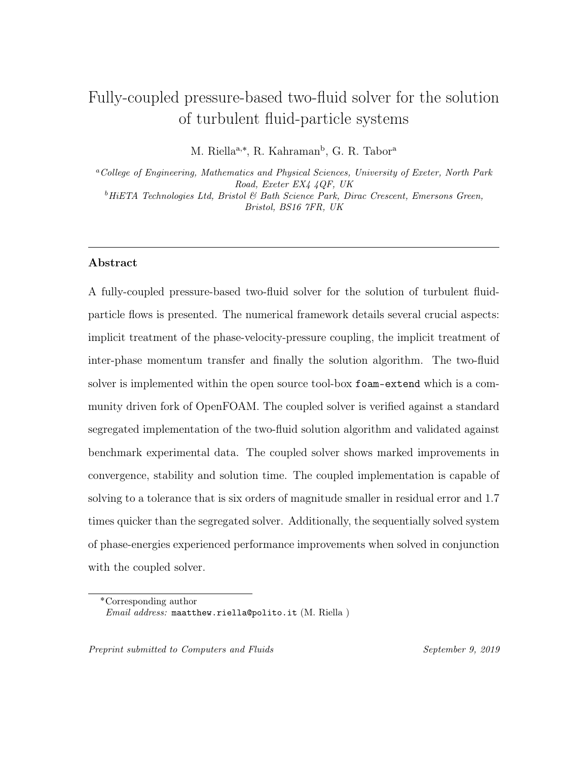<span id="page-38-0"></span>



Figure 12: Particle turbulent kinetic energy execution time.

Figure 13: Particle turbulent kinetic energy dissipation convergence.



Figure 14: Granular temperature convergence.

 Figures [10](#page-37-0) - [14](#page-38-0) show the residual behaviour for the phase-energy system. Overall, it can be seen that the coupled solver reduces the residual error across all turbulence variables resulting in a comparative drop of several orders of magnitude. The benefits of the implicit treatment of the phase-velocity-pressure coupling is carried over into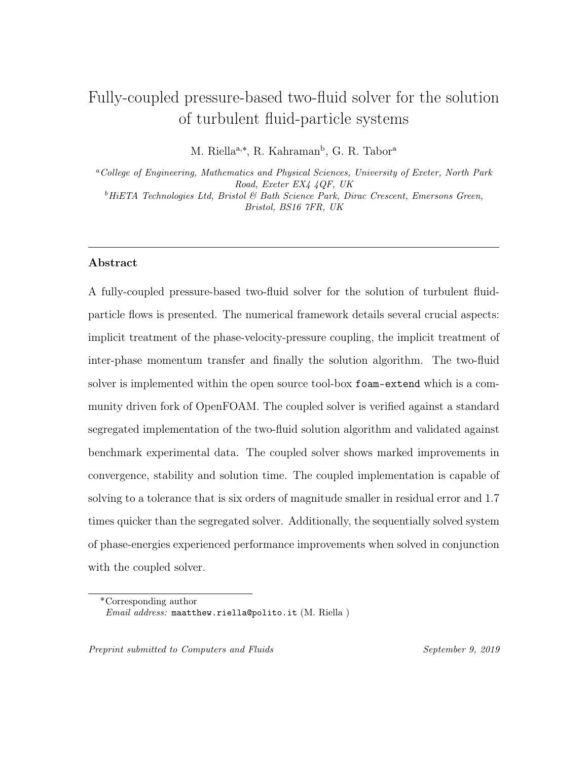the solution of phase-energies despite them being solved using a segregated solution algorithm.

 The segregated solution, on the other hand, displays similar residual error be- haviour across each turbulence variable. After an initial reduction the error tends to stall and oscillate around an unsatisfactory value, behaviour that is similar to that seen in the previous section. This is symptomatic of the segregated solution algo- rithm and further (minor) improvements in the residual error would require arbitrary tweaking of relaxation factors.

 In the Two-Fluid model employed in this work the phase-energy equations are cou- pled through inter-phase momentum transfer and the term is treated semi-implicitly. These system of equations, particle- and fluid-phase energy, are also suitable candi- dates for a block coupled solution as they can be coupled through: turbulent kinetic energy production, dissipation and inter-phase drag. This could provide further en- hancements in solution time and residual error. Moreover, this would enhance the coupling within the energy system resulting in a more robust and stable solution algorithm. In particular in flow regimes with large drag values e.g. small particle diameters.

 Finally, this methodology can be readily extended to more coupling mechanisms e.g. buoyancy, lift or virtual mass, and more sophisticated turbulence modelling e.g. LES, and more complicated physical process e.g. chemical reactions or heat transfer. The inclusion of which would certainly enhance the performance of the solution algorithm.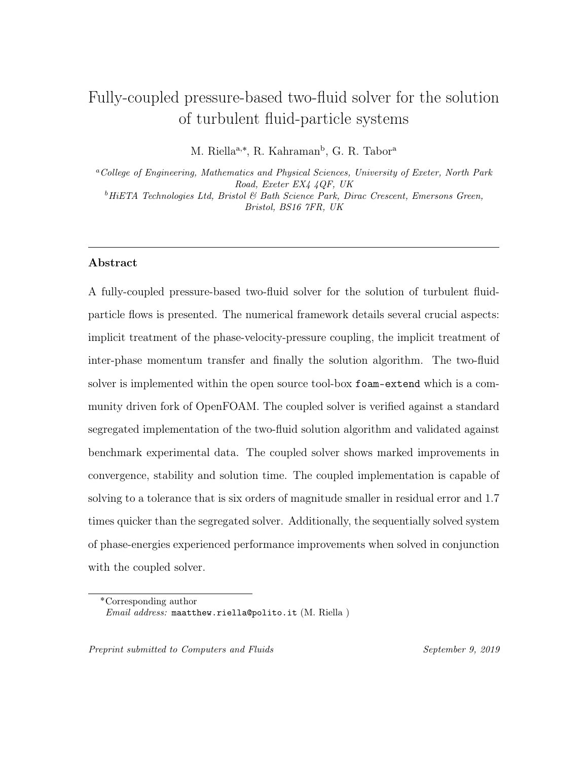#### 5.4. CFL number variation

 One additional benefit of an implicitly coupled phase-velocity-pressure solution is that the solution can be accelerated due to the implicit treatment of hitherto explicit terms, unlike in the segregated solver. The implicit treatment of the phase- velocity-pressure coupling and the inter-phase momentum transfer in particular en- ables the CFL number to be increased beyond conventional limits. In this section the simulations are rerun with incrementally increasing CFL number to ascertain the performance of both solvers.

<span id="page-40-0"></span>

|      | Courant No. $\vert$ Coupled Exe. $\vert$ s $\vert$ | Segregated Exe.  s      |
|------|----------------------------------------------------|-------------------------|
| 0.25 | 541                                                | 1022                    |
| 0.5  | 377                                                | 641                     |
|      | 235                                                | 320                     |
| 1.5  | 216                                                | 255                     |
| 2    | 176                                                | $\mathrm{N}/\mathrm{A}$ |
| 2.5  | 149                                                |                         |

Table 3: Total execution time of the coupled and segregated solvers under increasing CFL Number.

 Table [3](#page-40-0) details the solution execution time of each solver under increasing CFL number. Overall, it can be seen that the coupled solver out performs the segregated solver across each increment of CFL number. In addition, the coupled solver is able to achieve higher CFL numbers due to its implicit solution. This results in the coupled solver being 1.7 times quicker than than the segregated solver. Above CFL numbers of 1.5 the segregated solution becomes unstable and the solution is compromised. This is due to the explicit treatment of the phase-velocity-pressure coupling and the semi-implicit implementation of the inter-phase momentum transfer.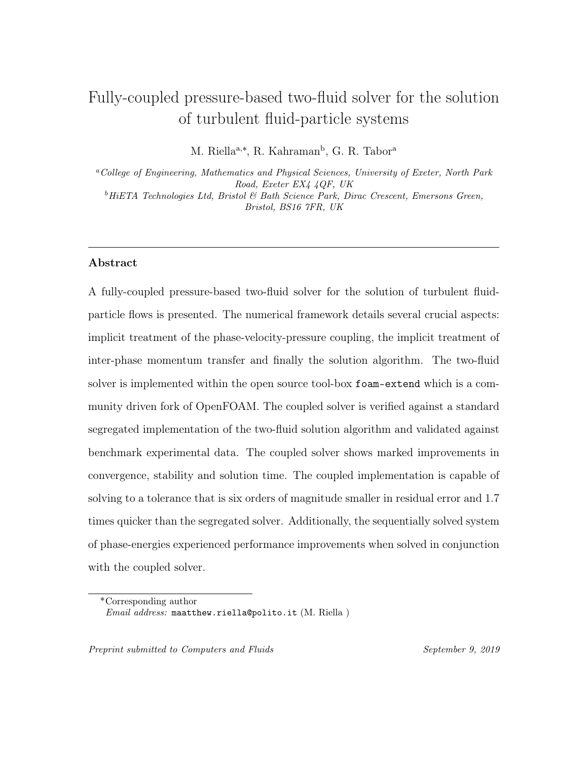For the solution of the block-matrix a fairly conventional matrix solver is em- ployed i.e. ILU preconditioner with BiCGSTAB. Recently, a more sophisticated ap- proach has been developed: a block-selective algebraic multigrid algorithm [\[34\]](#page-53-5). We note here that an aggregative algebraic multigrid algorithm exists within foam-extend but its performance was found to be unsatisfactory in comparison to BiCGSTAB. The block-selective algorithm has shown to provide substantial increases in the per- formance of the linear solver. In some cases completing the solution within half the time of the BiCGSTAB algorithm. This could further improve the results of the coupled solver with a further reduction in execution time.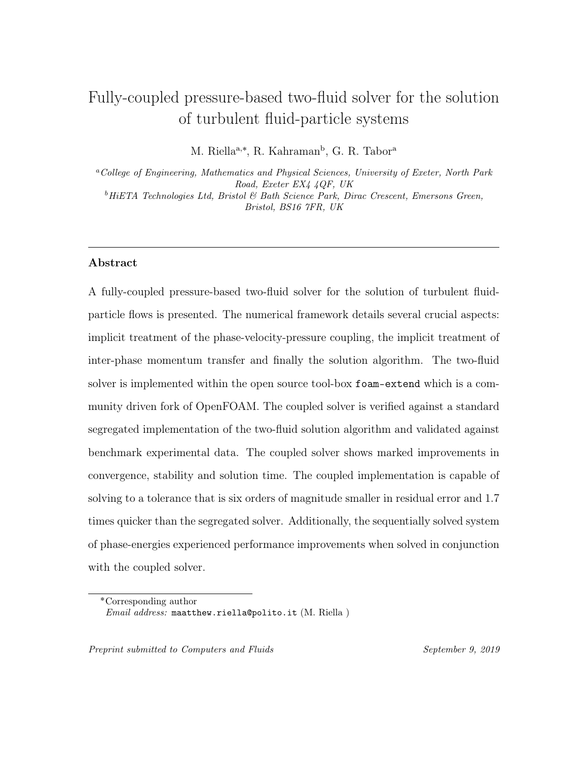#### 6. Conclusions

 In this work a fully-coupled pressure-based two-fluid framework for the solution of turbulent fluid-particle flows is presented. The numerical framework detailed several crucial aspects: implicit treatment of the phase-velocity-pressure coupling, the implicit treatment of inter-phase momentum transfer and finally the solution algorithm. The approach is directly contrasted with the segregated approach in order to compare key differences in the solution algorithm. The coupled two-fluid solver is verified and validated against the segregated solver and benchmark experimental data respectively, showing good agreement throughout. The performance of both the coupled and segregated solvers are also evaluated.

#### The papers main contributions can be summarised as follows:

- $\bullet$  A fully-coupled pressure-based two-fluid solver for fluid-particle flow is derived and implemented within foam-extend.
	-

 • The solver is validated against benchmark experimental data showing good agreement throughout.

- The coupled solver, in general, provides superior performance:
- Solving to a tolerance that is six orders of magnitude smaller in residual error.
- $\sim$  Completing the simulation 1.7 times quicker than the segregated solver.
- $\frac{529}{2}$  Able to increase the CFL number to 2.5 further accelerating the simulation as opposed to 1.5 in the segregated solver.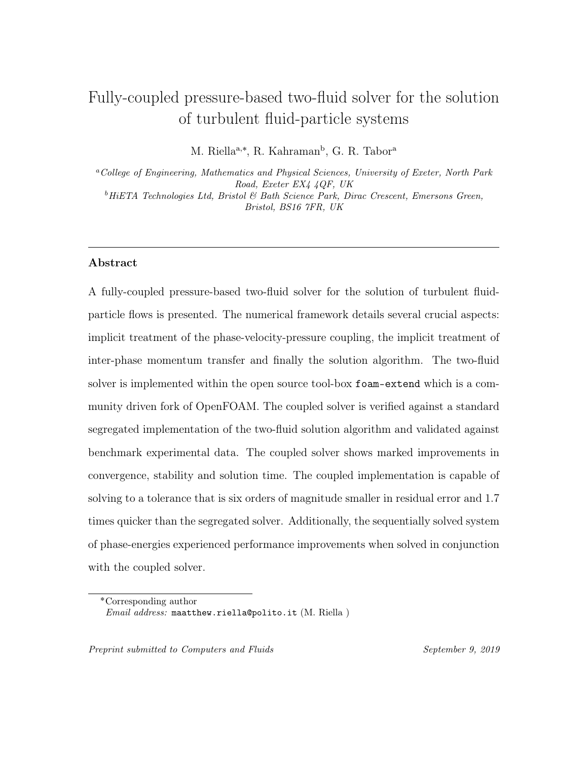• As an auxiliary benefit to the implicit treatment of the phase-velocity-pressure coupling the system of phase-energy equations, of which are solved sequentially, are solved to a tolerance that is seven times smaller in magnitude.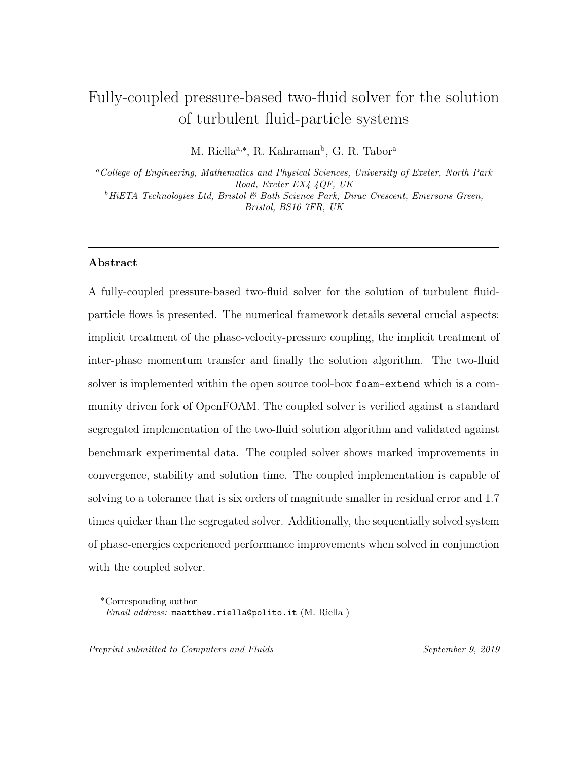# <sup>534</sup> Nomenclature

| $(\cdot)_f$        | cell to face interpolation                                              |
|--------------------|-------------------------------------------------------------------------|
| $\mathbf{A}_i$     | main diagonal of coefficients obtained from the discretisation pro-     |
|                    | cedure, $[s^{-1}]$                                                      |
| $C_D$              | drag coefficient, $[-]$                                                 |
| <b>CFL</b>         | Courant-Friedrichs-Lewy number                                          |
| D                  | pipe diameter,  m                                                       |
| $D_p$              | pressure diffusivity matrix, $\lceil \text{kg}^{-1} \text{sm}^3 \rceil$ |
| $d_p$              | particle diameter, $ m $                                                |
| $d_{i}$            | numerical coefficient ratio                                             |
| $g_0$              | radial distribution coefficient, $ - $                                  |
| g                  | gravity, $\left[\text{ms}^{-2}\right]$                                  |
| $H_i$              | off-diagonal of coefficients obtained from the discretisation proce-    |
|                    | dure, $\left[\text{ms}^{-2}\right]$                                     |
| $k_i$              | turbulent kinetic energy, $\lceil m^2 s^{-2} \rceil$                    |
| $\Gamma$           | pipe length, $ m $                                                      |
| $\mathbf P$        | number of phases                                                        |
| $p_i$              | phase-pressure,  Pa                                                     |
| $Re_p$             | particle Reynolds number, $ - $                                         |
| $\mathbf{S}_f$     | surface area vector, $[m^2]$                                            |
| t                  | time,  s                                                                |
| $\mathbf{u}_i$     | phase-velocity, $\left[\text{ms}^{-1}\right]$                           |
| $\boldsymbol{u}_i$ | phase-velocity component, $\lceil ms^{-1} \rceil$                       |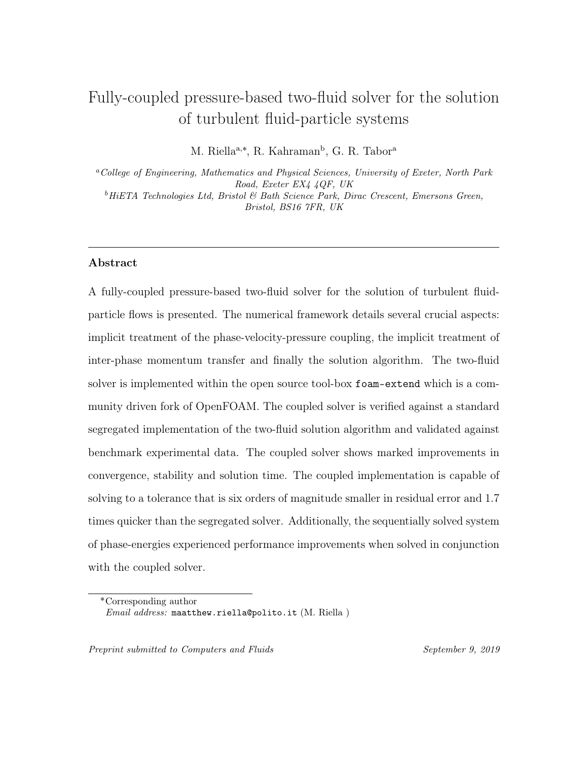# <sup>535</sup> Greek letters

| $\alpha_i$          | volume fraction, $ - $                                                                   |
|---------------------|------------------------------------------------------------------------------------------|
| $\beta$             | momentum exchange coefficient, $\lceil \text{kgm}^{-3} \text{s}^{-1} \rceil$             |
| $\Gamma$            | generic diffusion coefficient                                                            |
| $\varepsilon_i$     | turbulent kinetic energy dissipation, $\lceil m^2 s^{-3} \rceil$                         |
| $\Theta_p$          | granular temperature, $\lceil m^2 s^{-2} \rceil$                                         |
| $\kappa_p$          | particle fluctuation energy, $\lceil m^2 s^{-2} \rceil$                                  |
| $\kappa_{\Theta s}$ | diffusion coefficient for granular energy, $\lceil \text{kgm}^{-1} \text{s}^{-1} \rceil$ |
| $\mu_i$             | shear viscosity, $\lceil \text{kgm}^{-1} \text{s}^{-1} \rceil$                           |
| $\mu_{i,t}$         | turbulent shear viscosity, $\lceil \text{kgm}^{-1} \text{s}^{-1} \rceil$                 |
| $\nu_i$             | kinematic viscosity, $\lceil m^2 s^{-1} \rceil$                                          |
| $\nu_{i,t}$         | turbulent kinematic viscosity, $\lceil m^2 s^{-1} \rceil$                                |
| $\rho_i$            | density, $\lceil \text{kgm}^{-3} \rceil$                                                 |
| $\tau_d$            | particle relaxation time, s                                                              |

<sup>536</sup> Subscripts

|                  | fluid                          |
|------------------|--------------------------------|
| $\dot{i}$        | $\text{cell } i$               |
| $\dot{j}$        | cell $j$                       |
| $\boldsymbol{k}$ | general index denoting a phase |
| $\,m$            | $1-k$                          |
| $\, p$           | particle                       |
| $\,r$            | relative                       |
| T                | total                          |
| $\mathcal{X}$    | x direction                    |
| $\boldsymbol{y}$ | y direction                    |
| $\overline{z}$   | z direction                    |
|                  | face interpolated value        |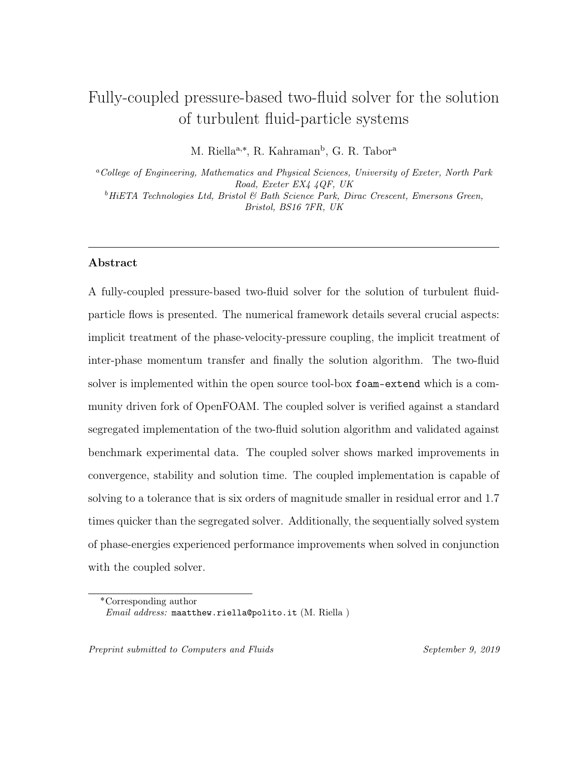# <sup>537</sup> Superscripts

| $\ast$           | predicted                    |
|------------------|------------------------------|
|                  | surface normal gradient      |
| φ                | generic variable             |
| $\boldsymbol{k}$ | values at current iteration  |
| $k-1$            | values at previous iteration |
| $\boldsymbol{p}$ | pressure                     |
| P                | phases                       |
| t.               | current time step            |
| $t-1$            | old time step                |
|                  |                              |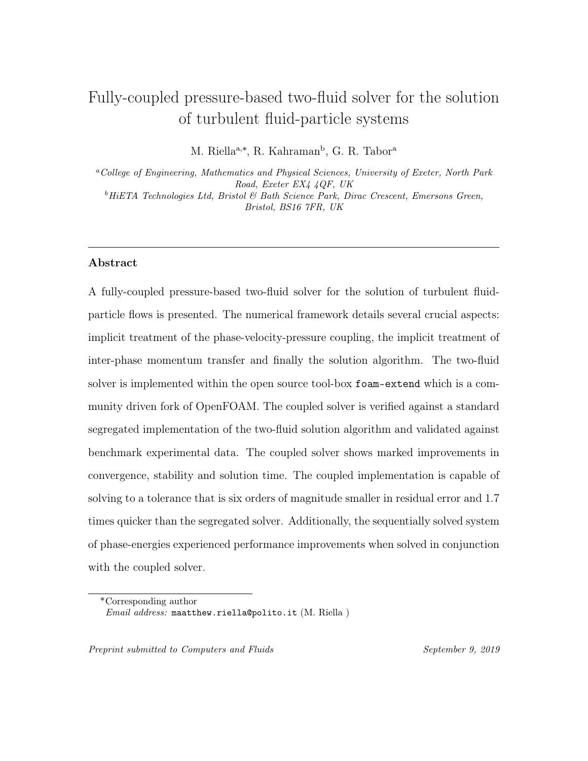<span id="page-47-0"></span>Table 4: Model characteristics & turbulence variables.

$$
\beta = \frac{\rho_p \alpha_p}{\tau_d} = \frac{3}{4} \frac{\alpha_p \alpha_f \rho_f \mathbf{u}_r}{d_p} C_d
$$
  
\n
$$
C_d = \begin{cases} \frac{24}{Re_p} \Big[ 1 + 0.15 Re_p^{0.287} \Big] & \text{if } Re_p < 1000 \\ 0.44 & \text{if } Re_p \geq 1000 \end{cases}
$$
  
\n
$$
Sc_{fp} = (k_f / k_p)^{1/2}
$$
  
\n
$$
St = \tau_d / \tau_f
$$
  
\n
$$
\tau_f = k_f / \varepsilon_f
$$
  
\n
$$
e = 1
$$
  
\n
$$
\Pi_p = 2\nu_{pt} \overline{\mathbf{S}}_p : \overline{\mathbf{S}}_p + \frac{2}{3} k_p \nabla \cdot \mathbf{u}_p
$$
  
\n
$$
\Pi_f = 2\nu_{ft} \overline{\mathbf{S}}_f : \overline{\mathbf{S}}_f + \frac{2}{3} k_f \nabla \cdot \mathbf{u}_f
$$
  
\n
$$
\overline{\mathbf{R}}_{\text{eff},p} = -2\nu_{\text{eff},p} \overline{\mathbf{S}}_p
$$
  
\n
$$
\overline{\mathbf{R}}_{\text{eff},f} = -2\nu_{\text{eff},f} \overline{\mathbf{S}}_f
$$
  
\n
$$
\overline{\mathbf{S}}_f = \frac{1}{2} [\nabla \mathbf{u}_p + (\nabla \mathbf{u}_p)^T] - \frac{1}{3} \nabla \cdot \mathbf{u}_p \mathbf{I}
$$
  
\n
$$
\frac{C_1}{C_1} \frac{C_2}{C_2} \frac{C_3}{C_3} \frac{C_4}{C_4} \frac{C_5}{C_5} \frac{\beta_k}{\beta_k} \frac{\beta_k}{C_{fp}} \frac{C_{fp}}{C_{pf}}
$$
  
\n1.44 1.92 1 1 1 1 1 1 1 1 0.09 0.09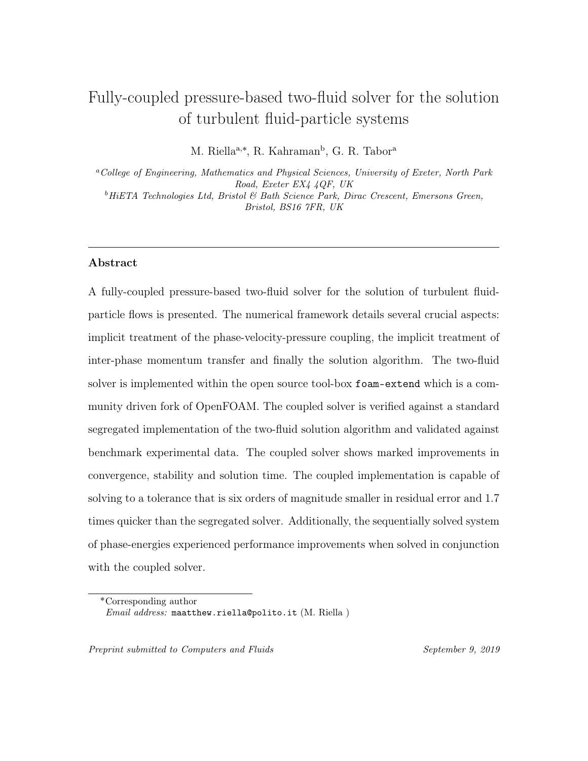<span id="page-48-0"></span>Table 5: Definition of variables.

$$
\kappa_p = k_p + 1.5\Theta_p
$$
\n
$$
\mu_f = \rho_f \nu_f
$$
\n
$$
\mu_{ft} = \alpha_f \rho_f \nu_{ft} = \alpha_f \rho_f C_{fu} k_f^2 / \varepsilon_f
$$
\n
$$
\mu_p = \alpha_p \rho_p \nu_p = \frac{2\mu_{pdi}}{(1+e)g_0} \Big[ 1 + \frac{4}{5} (1+e)g_0 \alpha_p \Big]^2 + \frac{4}{5} \alpha_p^2 \rho_p d_p g_0 (1+e) \Big( \frac{\Theta_p}{\pi} \Big)^{1/2}
$$
\n
$$
\mu_{pdil} = \frac{5\sqrt{\pi}}{96} \rho_p d_p \Theta_p^{1/2}
$$
\n
$$
\mu_{pt} = \alpha_p \rho_p \nu_{pt} = \alpha_p \rho_p C_{pu} k_p^2 / \varepsilon_p
$$
\n
$$
p_p = \rho_p \alpha_p \Theta_p + 2(1+e) \rho_p \alpha_p^2 g_0 \Theta_p
$$
\n
$$
\gamma = \frac{12(1-e^2)g_0}{\sqrt{\pi}d_p} \alpha_p^2 \rho_p \Theta_p^{3/2}
$$
\n
$$
\kappa_{\Theta} = \frac{2}{(1+e)g_0} \Big[ 1 + \frac{6}{5} (1+e)g_0 \alpha_p \Big]^2 \kappa_{\Theta, dil} + 2\alpha_p^2 \rho_p d_p g_0 (1+e) \Big( \frac{\Theta_p}{\pi} \Big)^{\frac{1}{2}}
$$
\n
$$
\kappa_{\Theta, dil} = \frac{75}{384} \sqrt{\pi} \rho_p d_p \Theta_p^{1/2}
$$
\n
$$
g_0 = \Big[ 1 - \Big( \frac{\alpha_p}{\alpha_{p,max}} \Big)^{\frac{1}{3}} \Big]^{-1}
$$
\n
$$
k_{fp} = \beta_k \sqrt{k_f k_p}
$$
\n
$$
\varepsilon_{fp} = \beta_e \sqrt{\varepsilon_f \varepsilon_p}
$$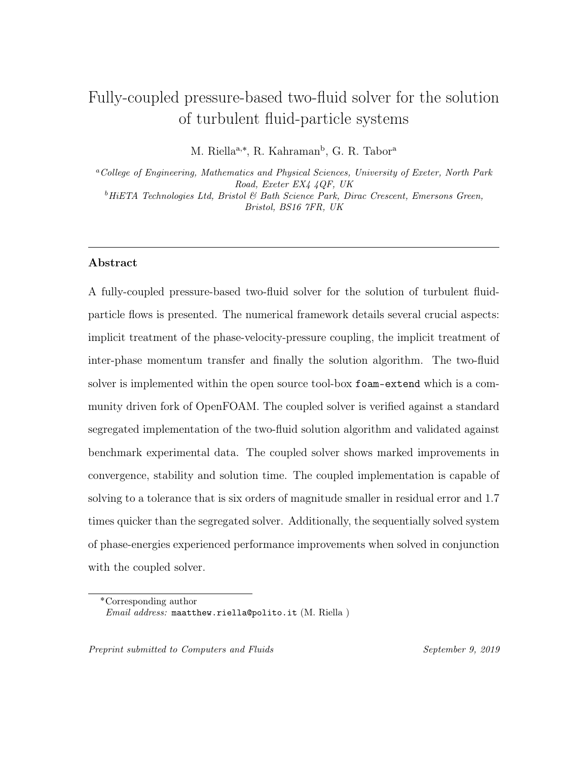#### 7. Bibliography

- <span id="page-49-0"></span> [1] Anderson, T. B. and Jackson, R. (1967). Fluid mechanical description of fluidized 540 beds: Equations of Motion. Industrial and Engineering Chemistry Fundamentals,  $541 \qquad 6(4):527-539.$
- <span id="page-49-2"></span> [2] Braaten, M. and Patankar, S. (1989). A block-corrected subdomain solution procedure for recirculating flow calculations. Numerical Heat Transfer, Part B: Fundamentals,  $15(1):1-20$ .
- <span id="page-49-4"></span> [3] Burns, A., Splawski, A., Lo, S., and Guetari, C. (2001). Application of coupled 546 solver technology to cfd modeling of multiphase flows with cfx. WIT Transactions on Engineering Sciences, 30.
- <span id="page-49-5"></span> [4] Cardiff, P., Tuković, Ž., Jasak, H., and Ivanković, A. (2016). A block-coupled fi-549 nite volume methodology for linear elasticity and unstructured meshes. Computers & structures, 175:100–122.
- <span id="page-49-3"></span> [5] Caretto, L., Curr, R., and Spalding, D. (1972). Two numerical methods for <sub>552</sub> three-dimensional boundary layers. Computer Methods in Applied Mechanics and Engineering,  $1(1):39 - 57$ .
- <span id="page-49-1"></span> [6] Chen, Z. and Przekwas, A. (2010). A coupled pressure-based computational method for incompressible/compressible flows. Journal of Computational Physics,  $556 \qquad 229(24):9150 - 9165.$
- <span id="page-49-6"></span>[7] Clifford, I., J. H. (2009). The application of a multi-physics toolkit to spatial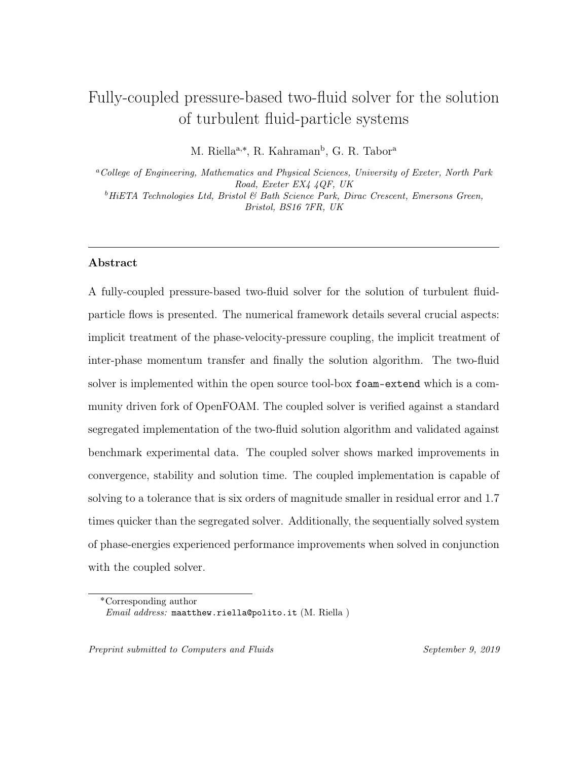- reactor dynamics. In International Conference on Mathematics, Computational Methods Reactor Physics, Curran Associates, Saratoga Springs, New York.
- <span id="page-50-5"></span> [8] Cubero, A. and Fueyo, N. (2007). A compact momentum interpolation procedure <sub>561</sub> for unsteady flows and relaxation. Numerical Heat Transfer, Part B: Fundamen- $_{562}$  tals,  $52(6):507-529$ .
- <span id="page-50-4"></span> [9] Cubero, A., Sánchez-Insa, A., and Fueyo, N. (2014). A consistent momentum interpolation method for steady and unsteady multiphase flows. Computers Chem- $_{565}$  ical Engineering,  $62:96-107$ .
- <span id="page-50-2"></span> [10] Darwish, M., Abdel Aziz, A., and Moukalled, F. (2015). A coupled pressure- based finite-volume solver for incompressible two-phase flow. Numerical Heat Transfer, Part B: Fundamentals, 67(1):47–74.
- <span id="page-50-0"></span> [11] Darwish, M., Sraj, I., and Moukalled, F. (2007). A coupled incompressible flow solver on structured grids. Numerical Heat Transfer, Part B: Fundamentals,  $52(4):353-371.$
- <span id="page-50-1"></span> [12] Darwish, M., Sraj, I., and Moukalled, F. (2009). A coupled finite volume solver for the solution of incompressible flows on unstructured grids. Journal of Compu-tational Physics, 228(1):180–201.
- <span id="page-50-3"></span> [13] Ferreira, G. G., Lage, P. L., Silva, L. F. L., and Jasak, H. (2019). Implemen-tation of an implicit pressure-velocity coupling for the eulerian multi-fluid model.
- Computers Fluids,  $181:188 207$ .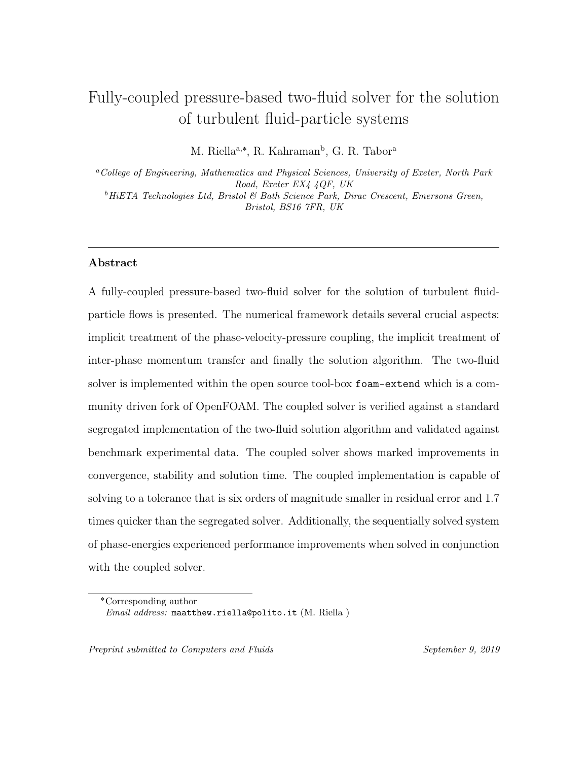- <span id="page-51-0"></span> [14] Ferziger, J. H. and Peric, M. (2002). Computational Methods for Fluid Dynam-*ics*. Springer.
- <span id="page-51-5"></span> [15] Fox, R. O. (2014). On multiphase turbulence models for collisional fluid-particle flows. Journal of Fluid Mechanics, 742:368–424.
- <span id="page-51-3"></span> [16] Hutchinson, B., Galpin, P., and Raithby, G. (1988). Application of additive correction multigrid to the coupled fluid flow equations. Numerical Heat Transfer,  $584 \qquad 13(2):133-147.$
- <span id="page-51-1"></span> [17] Issa, R. I. (1986). Solution of the implicitly discretised fluid flow equations by operator-splitting. Journal of Computational Physics, 62(1):40–65.
- <span id="page-51-7"></span> [18] Jareteg, K., Vukčević, V., and Jasak, H. (2014). pucoupledfoam-an open source coupled incompressible pressure-velocity solver based on foam-extend. In 9th OpenFOAM Workshop.
- <span id="page-51-6"></span> [19] Jasak, H. (1996). Error Analysis and Estimation for the Finite Volume Method with Applications to Fluid Flows. PhD Thesis, Imperial College London(June).
- <span id="page-51-2"></span> [20] Karki, K. C. and Mongia, H. C. Evaluation of a coupled solution approach for fluid flow calculations in body-fitted co-ordinates. International Journal for  $_{594}$  Numerical Methods in Fluids,  $11(1):1-20$ .
- <span id="page-51-4"></span>[21] Lonsdale, R, D. (1991). An algebraic multigrid scheme for solving the navier-
- stokes equations on unstructured meshes. In Proc. 7th Int. Conf. on Numerical
- Methods in Turbulent and Laminar Flows.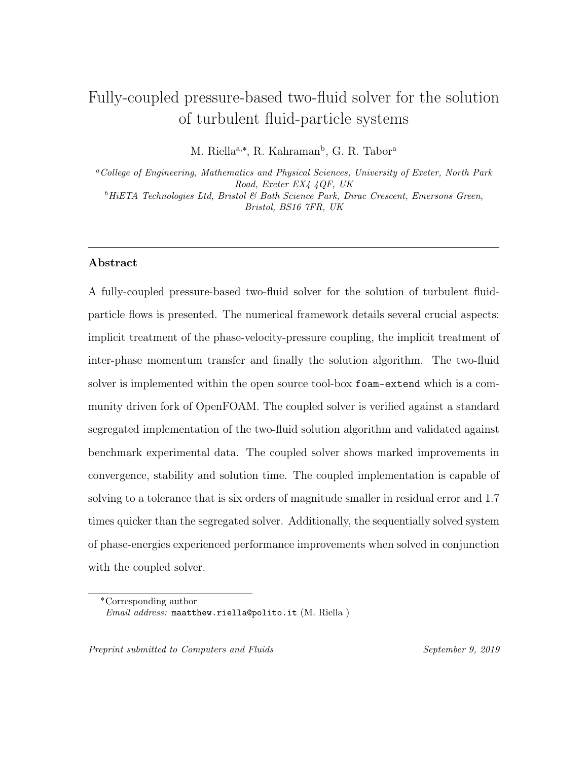- <span id="page-52-6"></span> [22] Lun, C. K. K. (2000). Numerical simulation of dilute turbulent gas–solid flows. International Journal of Multiphase Flow, 26(10):1707–1736.
- <span id="page-52-1"></span> $\frac{600}{23}$  Mazhar, Z. (2001). A procedure for the treatment of the velocity-pressure cou-
- <sub>601</sub> pling problem in incompressible fluid flow. Numerical Heat Transfer: Part B:  $_{602}$  Fundamentals,  $39(1):91-100$ .
- <span id="page-52-2"></span> [24] Mazhar, Z. (2016). A novel fully implicit block coupled solution strategy for the ultimate treatment of the velocity–pressure coupling problem in incompressible fluid flow. Numerical Heat Transfer, Part B: Fundamentals, 69(2):130–149.
- <span id="page-52-0"></span> [25] Patankar, S. V. and Spalding, D. B. (1983). A calculation procedure for heat, <sub>607</sub> mass and momentum transfer in three-dimensional parabolic flows. In Numeri- cal Prediction of Flow, Heat Transfer, Turbulence and Combustion, pages 54–73. Elsevier.
- <span id="page-52-3"></span>[26] Raw, M. (1995). A Coupled Algebraic Multigrid Method for the 3D Navier-Stokes
- Equations, pages 204–215. Vieweg+Teubner Verlag, Wiesbaden.
- <span id="page-52-5"></span> [27] Rhie, C. M. and Chow, W. L. (1983). A numerical study of the turbulent flow 613 past an isolated airfoil with trailing edge separation.  $A/A$   $\dot{\mathcal{A}}$ , pages 1525–1532.
- <span id="page-52-7"></span> [28] Riella, M. (2019). Turbulence modelling of fluid-particle interaction. PhD thesis, University of Exeter. http://hdl.handle.net/10871/37927.
- <span id="page-52-4"></span> [29] Riella, M., Kahraman, R., and Tabor, G. (2018). Reynolds-averaged two-fluid model prediction of moderately dilute fluid-particle flow over a backward-facing  $\epsilon_{18}$  step. International Journal of Multiphase Flow,  $106:95 - 108$ .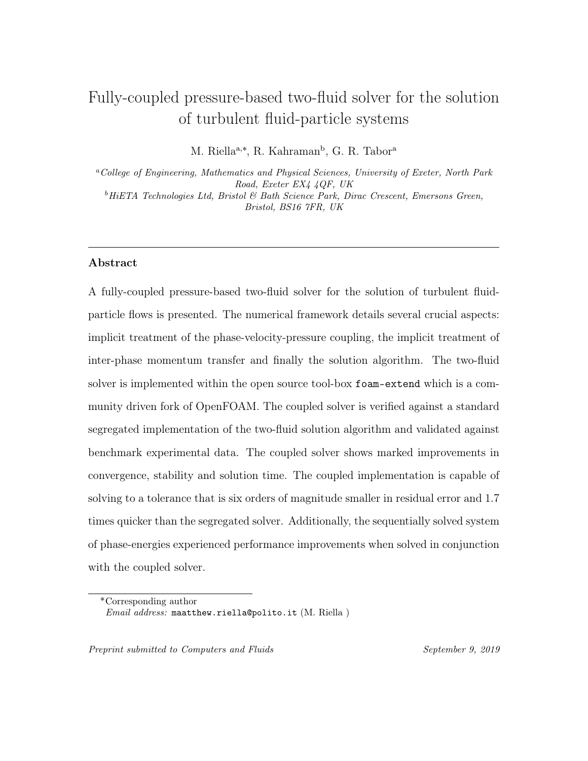- <span id="page-53-7"></span> [30] Riella, M., Kahraman, R., and Tabor, G. (2019a). Inhomogeneity and anisotropy <sub>620</sub> in eulerian-eulerian near-wall modelling. *International Journal of Multiphase Flow*, 114:9 – 18.
- <span id="page-53-8"></span> [31] Riella, M., Kahraman, R., and Tabor, G. (2019b). Near-wall modelling in eulerian-eulerian simulations. Computers Fluids, 190:206 – 216.
- <span id="page-53-3"></span> [32] Rusche, H. (2002). Computational Fluid Dynamics of Dispersed Two-Phase Flows at High Phase Fractions. PhD Thesis, (December).
- <span id="page-53-6"></span>[33] Tsuji, Y., Morikawa, Y., and Shiomi, H. (1984). LDV measurements of an air-
- solid two-phase flow in a vertical pipe. Journal of Fluid Mechanics, 120:385–409.
- <span id="page-53-5"></span> [34] Uroić, T. and Jasak, H. (2018). Block-selective algebraic multigrid for implicitly 629 coupled pressure-velocity system. Computers & fluids,  $167(1):100-110$ .
- <span id="page-53-0"></span> [35] Vanka, S. (1986). Block-implicit multigrid solution of navier-stokes equations in  $\epsilon_{31}$  primitive variables. Journal of Computational Physics,  $65(1):138-158$ .
- <span id="page-53-2"></span>[36] Webster, R. An algebraic multigrid solver for navier-stokes problems. Interna-
- tional Journal for Numerical Methods in Fluids, 18(8):761–780.
- <span id="page-53-1"></span> [37] Webster, R. An algebraic multigrid solver for navier-stokes problems in dis- crete second-order approximation. International Journal for Numerical Methods 636 *in Fluids*,  $22(11):1103-1123$ .
- <span id="page-53-4"></span> [38] Weller, H. (2002). Derivation, modelling and solution of the conditionally aver-638 aged two-phase flow equations. Tech. Rep. OpenCFD Ltd.